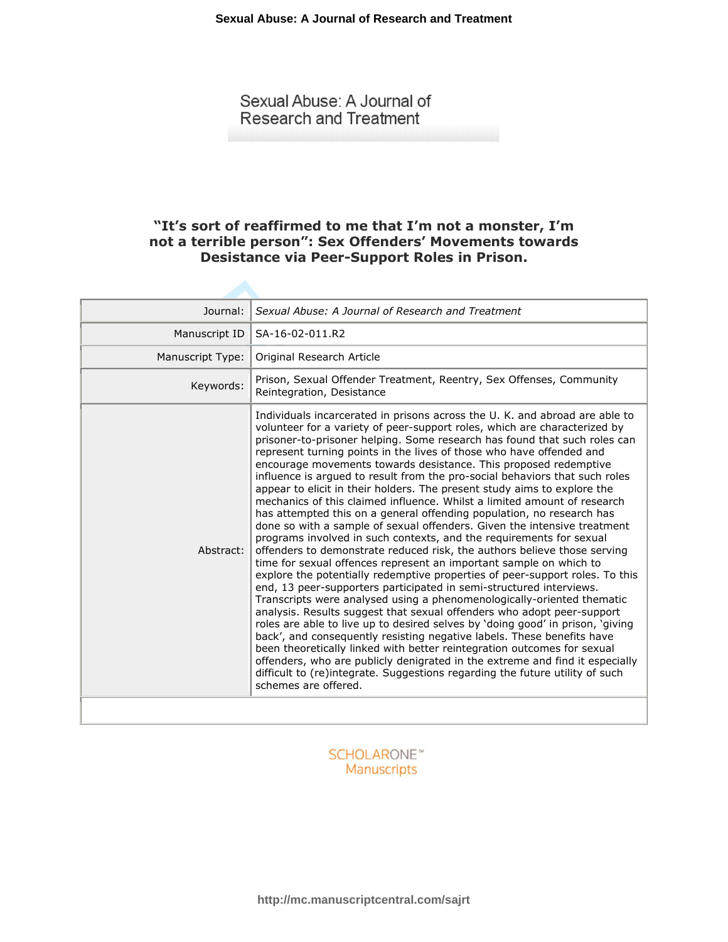Sexual Abuse: A Journal of **Research and Treatment** 

# **"It's sort of reaffirmed to me that I'm not a monster, I'm not a terrible person": Sex Offenders' Movements towards Desistance via Peer-Support Roles in Prison.**

| Journal:         | Sexual Abuse: A Journal of Research and Treatment                                                                                                                                                                                                                                                                                                                                                                                                                                                                                                                                                                                                                                                                                                                                                                                                                                                                                                                                                                                                                                                                                                                                                                                                                                                                                                                                                                                                                                                                                                                                                                                                                                                                                                |
|------------------|--------------------------------------------------------------------------------------------------------------------------------------------------------------------------------------------------------------------------------------------------------------------------------------------------------------------------------------------------------------------------------------------------------------------------------------------------------------------------------------------------------------------------------------------------------------------------------------------------------------------------------------------------------------------------------------------------------------------------------------------------------------------------------------------------------------------------------------------------------------------------------------------------------------------------------------------------------------------------------------------------------------------------------------------------------------------------------------------------------------------------------------------------------------------------------------------------------------------------------------------------------------------------------------------------------------------------------------------------------------------------------------------------------------------------------------------------------------------------------------------------------------------------------------------------------------------------------------------------------------------------------------------------------------------------------------------------------------------------------------------------|
| Manuscript ID    | SA-16-02-011.R2                                                                                                                                                                                                                                                                                                                                                                                                                                                                                                                                                                                                                                                                                                                                                                                                                                                                                                                                                                                                                                                                                                                                                                                                                                                                                                                                                                                                                                                                                                                                                                                                                                                                                                                                  |
| Manuscript Type: | Original Research Article                                                                                                                                                                                                                                                                                                                                                                                                                                                                                                                                                                                                                                                                                                                                                                                                                                                                                                                                                                                                                                                                                                                                                                                                                                                                                                                                                                                                                                                                                                                                                                                                                                                                                                                        |
| Keywords:        | Prison, Sexual Offender Treatment, Reentry, Sex Offenses, Community<br>Reintegration, Desistance                                                                                                                                                                                                                                                                                                                                                                                                                                                                                                                                                                                                                                                                                                                                                                                                                                                                                                                                                                                                                                                                                                                                                                                                                                                                                                                                                                                                                                                                                                                                                                                                                                                 |
| Abstract:        | Individuals incarcerated in prisons across the U. K. and abroad are able to<br>volunteer for a variety of peer-support roles, which are characterized by<br>prisoner-to-prisoner helping. Some research has found that such roles can<br>represent turning points in the lives of those who have offended and<br>encourage movements towards desistance. This proposed redemptive<br>influence is argued to result from the pro-social behaviors that such roles<br>appear to elicit in their holders. The present study aims to explore the<br>mechanics of this claimed influence. Whilst a limited amount of research<br>has attempted this on a general offending population, no research has<br>done so with a sample of sexual offenders. Given the intensive treatment<br>programs involved in such contexts, and the requirements for sexual<br>offenders to demonstrate reduced risk, the authors believe those serving<br>time for sexual offences represent an important sample on which to<br>explore the potentially redemptive properties of peer-support roles. To this<br>end, 13 peer-supporters participated in semi-structured interviews.<br>Transcripts were analysed using a phenomenologically-oriented thematic<br>analysis. Results suggest that sexual offenders who adopt peer-support<br>roles are able to live up to desired selves by 'doing good' in prison, 'giving<br>back', and consequently resisting negative labels. These benefits have<br>been theoretically linked with better reintegration outcomes for sexual<br>offenders, who are publicly denigrated in the extreme and find it especially<br>difficult to (re)integrate. Suggestions regarding the future utility of such<br>schemes are offered. |
|                  |                                                                                                                                                                                                                                                                                                                                                                                                                                                                                                                                                                                                                                                                                                                                                                                                                                                                                                                                                                                                                                                                                                                                                                                                                                                                                                                                                                                                                                                                                                                                                                                                                                                                                                                                                  |

**SCHOLARONE™** Manuscripts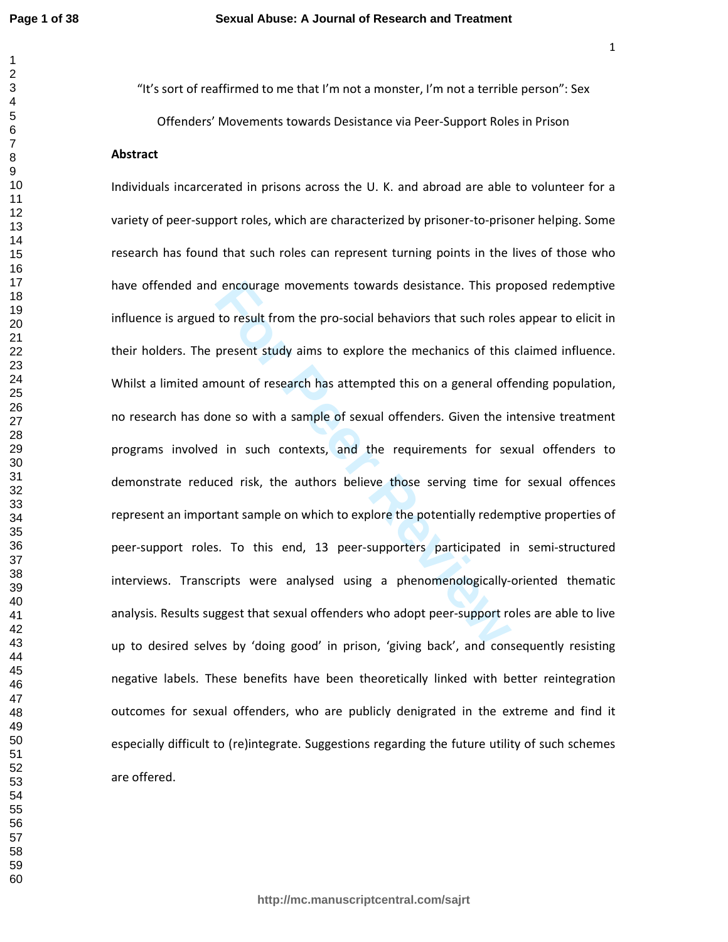$\mathbf{1}$  $\overline{2}$ 

"It's sort of reaffirmed to me that I'm not a monster, I'm not a terrible person": Sex Offenders' Movements towards Desistance via Peer-Support Roles in Prison

# **Abstract**

**Follow Example 12** encourage movements towards desistance. This proto result from the pro-social behaviors that such roles<br>present study aims to explore the mechanics of this<br>nount of research has attempted this on a gene Individuals incarcerated in prisons across the U. K. and abroad are able to volunteer for a variety of peer-support roles, which are characterized by prisoner-to-prisoner helping. Some research has found that such roles can represent turning points in the lives of those who have offended and encourage movements towards desistance. This proposed redemptive influence is argued to result from the pro-social behaviors that such roles appear to elicit in their holders. The present study aims to explore the mechanics of this claimed influence. Whilst a limited amount of research has attempted this on a general offending population, no research has done so with a sample of sexual offenders. Given the intensive treatment programs involved in such contexts, and the requirements for sexual offenders to demonstrate reduced risk, the authors believe those serving time for sexual offences represent an important sample on which to explore the potentially redemptive properties of peer-support roles. To this end, 13 peer-supporters participated in semi-structured interviews. Transcripts were analysed using a phenomenologically-oriented thematic analysis. Results suggest that sexual offenders who adopt peer-support roles are able to live up to desired selves by 'doing good' in prison, 'giving back', and consequently resisting negative labels. These benefits have been theoretically linked with better reintegration outcomes for sexual offenders, who are publicly denigrated in the extreme and find it especially difficult to (re)integrate. Suggestions regarding the future utility of such schemes are offered.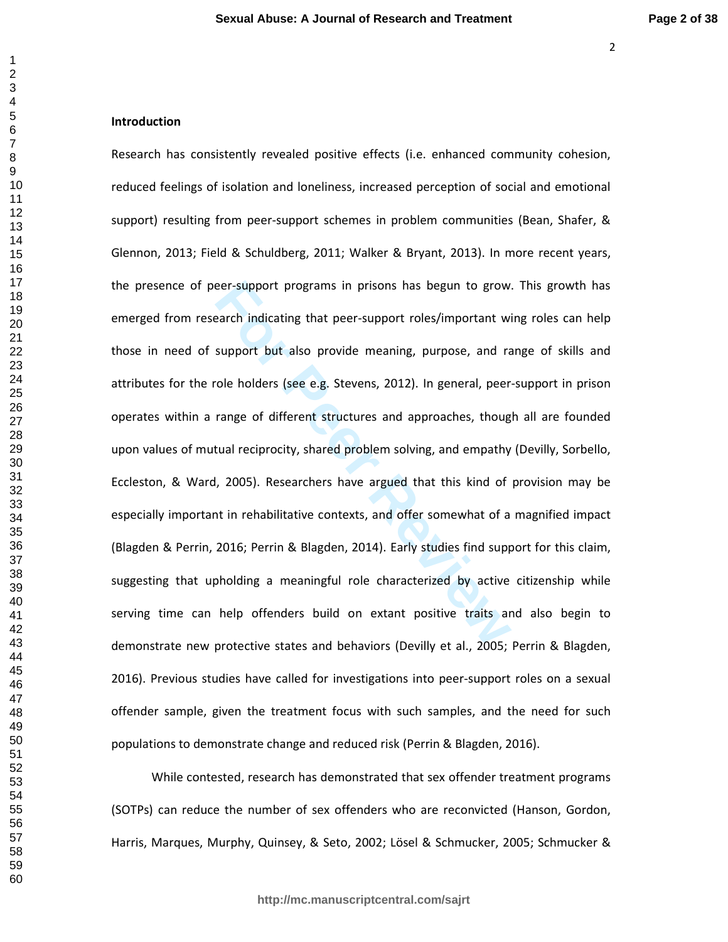## $\mathbf{1}$   $\overline{2}$

**Introduction** 

eer-support programs in prisons has begun to grow.<br>
Factor and idealing that peer-support roles/important wis<br>
support but also provide meaning, purpose, and ratio<br>
role holders (see e.g. Stevens, 2012). In general, peer<br> Research has consistently revealed positive effects (i.e. enhanced community cohesion, reduced feelings of isolation and loneliness, increased perception of social and emotional support) resulting from peer-support schemes in problem communities (Bean, Shafer, & Glennon, 2013; Field & Schuldberg, 2011; Walker & Bryant, 2013). In more recent years, the presence of peer-support programs in prisons has begun to grow. This growth has emerged from research indicating that peer-support roles/important wing roles can help those in need of support but also provide meaning, purpose, and range of skills and attributes for the role holders (see e.g. Stevens, 2012). In general, peer-support in prison operates within a range of different structures and approaches, though all are founded upon values of mutual reciprocity, shared problem solving, and empathy (Devilly, Sorbello, Eccleston, & Ward, 2005). Researchers have argued that this kind of provision may be especially important in rehabilitative contexts, and offer somewhat of a magnified impact (Blagden & Perrin, 2016; Perrin & Blagden, 2014). Early studies find support for this claim, suggesting that upholding a meaningful role characterized by active citizenship while serving time can help offenders build on extant positive traits and also begin to demonstrate new protective states and behaviors (Devilly et al., 2005; Perrin & Blagden, 2016). Previous studies have called for investigations into peer-support roles on a sexual offender sample, given the treatment focus with such samples, and the need for such populations to demonstrate change and reduced risk (Perrin & Blagden, 2016).

While contested, research has demonstrated that sex offender treatment programs (SOTPs) can reduce the number of sex offenders who are reconvicted (Hanson, Gordon, Harris, Marques, Murphy, Quinsey, & Seto, 2002; Lösel & Schmucker, 2005; Schmucker &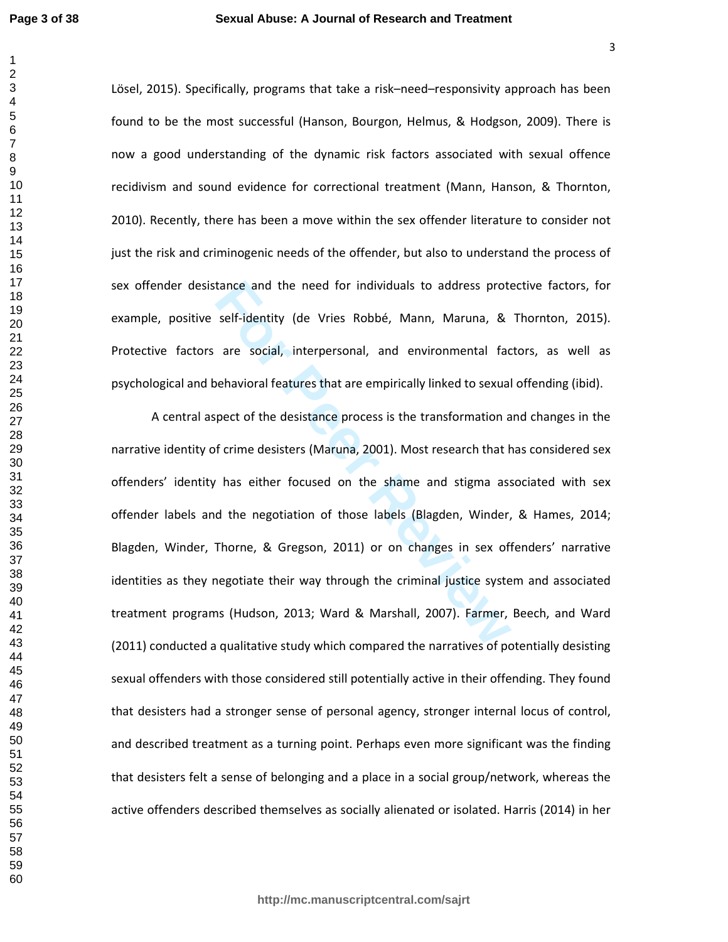Lösel, 2015). Specifically, programs that take a risk–need–responsivity approach has been found to be the most successful (Hanson, Bourgon, Helmus, & Hodgson, 2009). There is now a good understanding of the dynamic risk factors associated with sexual offence recidivism and sound evidence for correctional treatment (Mann, Hanson, & Thornton, 2010). Recently, there has been a move within the sex offender literature to consider not just the risk and criminogenic needs of the offender, but also to understand the process of sex offender desistance and the need for individuals to address protective factors, for example, positive self-identity (de Vries Robbé, Mann, Maruna, & Thornton, 2015). Protective factors are social, interpersonal, and environmental factors, as well as psychological and behavioral features that are empirically linked to sexual offending (ibid).

tance and the need for individuals to address prote<br>self-identity (de Vries Robbé, Mann, Maruna, &<br>are social, interpersonal, and environmental face<br>behavioral features that are empirically linked to sexual<br>pect of the des A central aspect of the desistance process is the transformation and changes in the narrative identity of crime desisters (Maruna, 2001). Most research that has considered sex offenders' identity has either focused on the shame and stigma associated with sex offender labels and the negotiation of those labels (Blagden, Winder, & Hames, 2014; Blagden, Winder, Thorne, & Gregson, 2011) or on changes in sex offenders' narrative identities as they negotiate their way through the criminal justice system and associated treatment programs (Hudson, 2013; Ward & Marshall, 2007). Farmer, Beech, and Ward (2011) conducted a qualitative study which compared the narratives of potentially desisting sexual offenders with those considered still potentially active in their offending. They found that desisters had a stronger sense of personal agency, stronger internal locus of control, and described treatment as a turning point. Perhaps even more significant was the finding that desisters felt a sense of belonging and a place in a social group/network, whereas the active offenders described themselves as socially alienated or isolated. Harris (2014) in her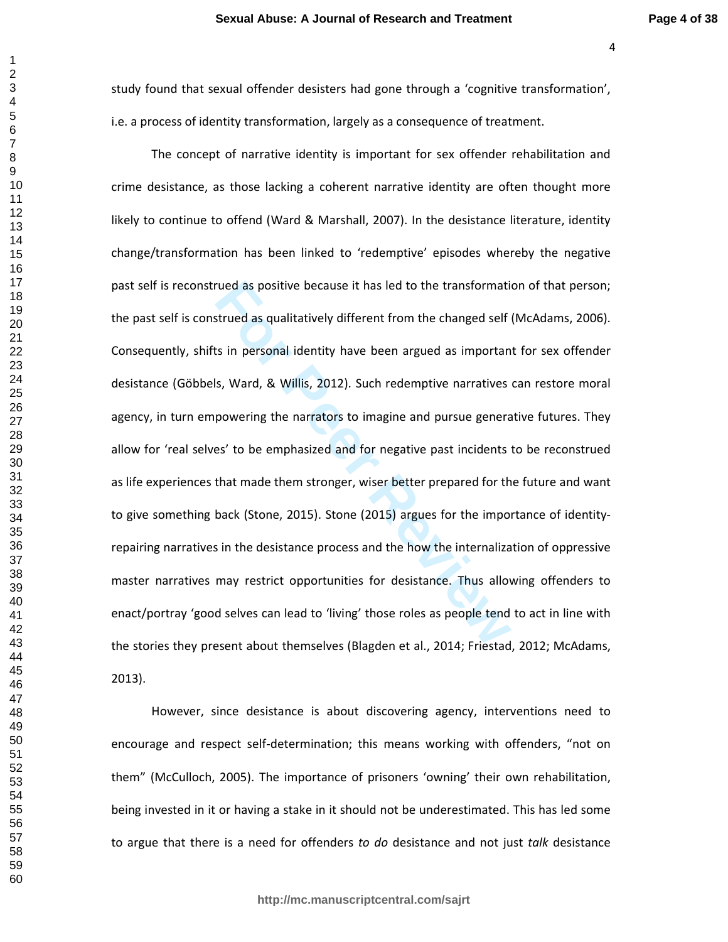$\mathbf{1}$ 

study found that sexual offender desisters had gone through a 'cognitive transformation', i.e. a process of identity transformation, largely as a consequence of treatment.

rued as positive because it has led to the transformation<br>strued as qualitatively different from the changed self<br>ts in personal identity have been argued as importan<br>s, Ward, & Willis, 2012). Such redemptive narratives<br>po The concept of narrative identity is important for sex offender rehabilitation and crime desistance, as those lacking a coherent narrative identity are often thought more likely to continue to offend (Ward & Marshall, 2007). In the desistance literature, identity change/transformation has been linked to 'redemptive' episodes whereby the negative past self is reconstrued as positive because it has led to the transformation of that person; the past self is construed as qualitatively different from the changed self (McAdams, 2006). Consequently, shifts in personal identity have been argued as important for sex offender desistance (Göbbels, Ward, & Willis, 2012). Such redemptive narratives can restore moral agency, in turn empowering the narrators to imagine and pursue generative futures. They allow for 'real selves' to be emphasized and for negative past incidents to be reconstrued as life experiences that made them stronger, wiser better prepared for the future and want to give something back (Stone, 2015). Stone (2015) argues for the importance of identityrepairing narratives in the desistance process and the how the internalization of oppressive master narratives may restrict opportunities for desistance. Thus allowing offenders to enact/portray 'good selves can lead to 'living' those roles as people tend to act in line with the stories they present about themselves (Blagden et al., 2014; Friestad, 2012; McAdams, 2013).

However, since desistance is about discovering agency, interventions need to encourage and respect self-determination; this means working with offenders, "not on them" (McCulloch, 2005). The importance of prisoners 'owning' their own rehabilitation, being invested in it or having a stake in it should not be underestimated. This has led some to argue that there is a need for offenders *to do* desistance and not just *talk* desistance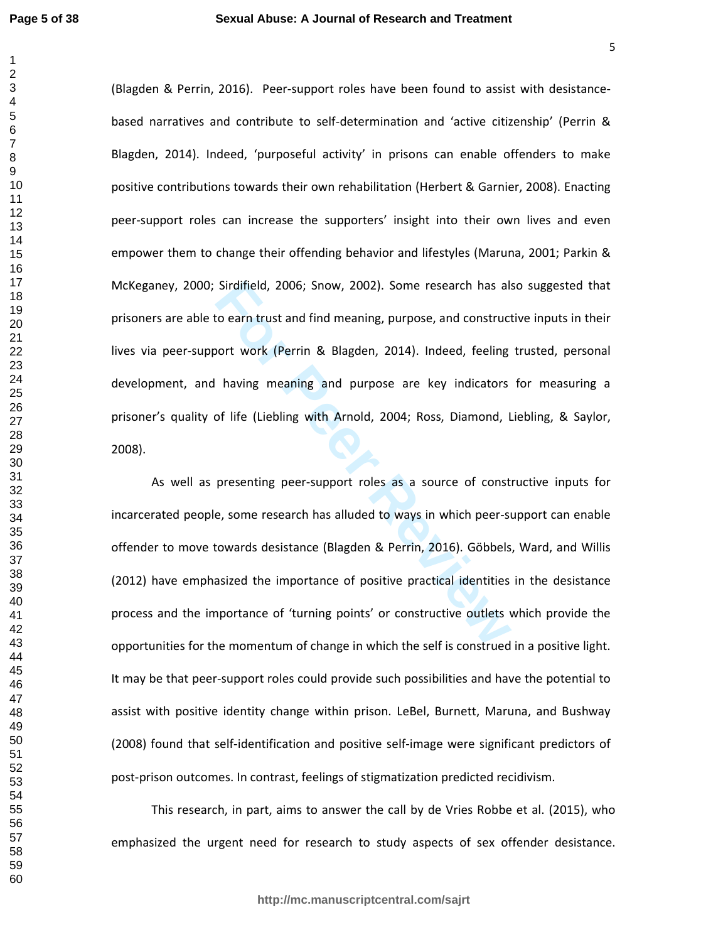Sirdifield, 2006; Snow, 2002). Some research has also earn trust and find meaning, purpose, and construct<br>boott work (Perrin & Blagden, 2014). Indeed, feeling<br>having meaning and purpose are key indicators<br>of life (Liebling (Blagden & Perrin, 2016). Peer-support roles have been found to assist with desistancebased narratives and contribute to self-determination and 'active citizenship' (Perrin & Blagden, 2014). Indeed, 'purposeful activity' in prisons can enable offenders to make positive contributions towards their own rehabilitation (Herbert & Garnier, 2008). Enacting peer-support roles can increase the supporters' insight into their own lives and even empower them to change their offending behavior and lifestyles (Maruna, 2001; Parkin & McKeganey, 2000; Sirdifield, 2006; Snow, 2002). Some research has also suggested that prisoners are able to earn trust and find meaning, purpose, and constructive inputs in their lives via peer-support work (Perrin & Blagden, 2014). Indeed, feeling trusted, personal development, and having meaning and purpose are key indicators for measuring a prisoner's quality of life (Liebling with Arnold, 2004; Ross, Diamond, Liebling, & Saylor, 2008).

As well as presenting peer-support roles as a source of constructive inputs for incarcerated people, some research has alluded to ways in which peer-support can enable offender to move towards desistance (Blagden & Perrin, 2016). Göbbels, Ward, and Willis (2012) have emphasized the importance of positive practical identities in the desistance process and the importance of 'turning points' or constructive outlets which provide the opportunities for the momentum of change in which the self is construed in a positive light. It may be that peer-support roles could provide such possibilities and have the potential to assist with positive identity change within prison. LeBel, Burnett, Maruna, and Bushway (2008) found that self-identification and positive self-image were significant predictors of post-prison outcomes. In contrast, feelings of stigmatization predicted recidivism.

This research, in part, aims to answer the call by de Vries Robbe et al. (2015), who emphasized the urgent need for research to study aspects of sex offender desistance.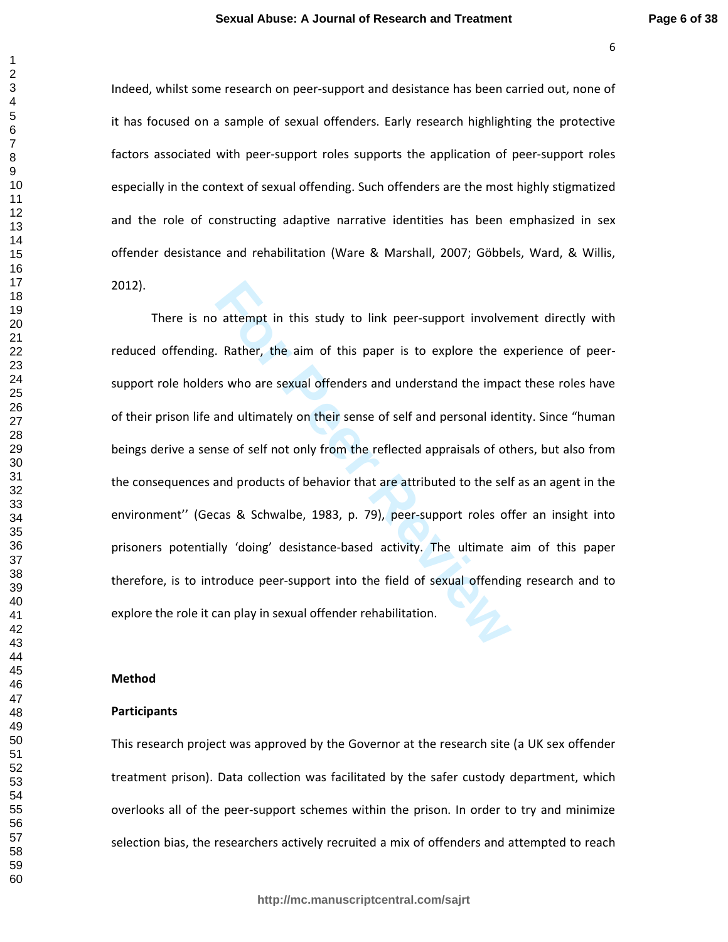Indeed, whilst some research on peer-support and desistance has been carried out, none of it has focused on a sample of sexual offenders. Early research highlighting the protective factors associated with peer-support roles supports the application of peer-support roles especially in the context of sexual offending. Such offenders are the most highly stigmatized and the role of constructing adaptive narrative identities has been emphasized in sex offender desistance and rehabilitation (Ware & Marshall, 2007; Göbbels, Ward, & Willis, 2012).

attempt in this study to link peer-support involver<br>
Rather, the aim of this paper is to explore the express who are sexual offenders and understand the impair<br>
and ultimately on their sense of self and personal ider<br>
see There is no attempt in this study to link peer-support involvement directly with reduced offending. Rather, the aim of this paper is to explore the experience of peersupport role holders who are sexual offenders and understand the impact these roles have of their prison life and ultimately on their sense of self and personal identity. Since "human beings derive a sense of self not only from the reflected appraisals of others, but also from the consequences and products of behavior that are attributed to the self as an agent in the environment'' (Gecas & Schwalbe, 1983, p. 79), peer-support roles offer an insight into prisoners potentially 'doing' desistance-based activity. The ultimate aim of this paper therefore, is to introduce peer-support into the field of sexual offending research and to explore the role it can play in sexual offender rehabilitation.

### **Method**

### **Participants**

This research project was approved by the Governor at the research site (a UK sex offender treatment prison). Data collection was facilitated by the safer custody department, which overlooks all of the peer-support schemes within the prison. In order to try and minimize selection bias, the researchers actively recruited a mix of offenders and attempted to reach

**http://mc.manuscriptcentral.com/sajrt**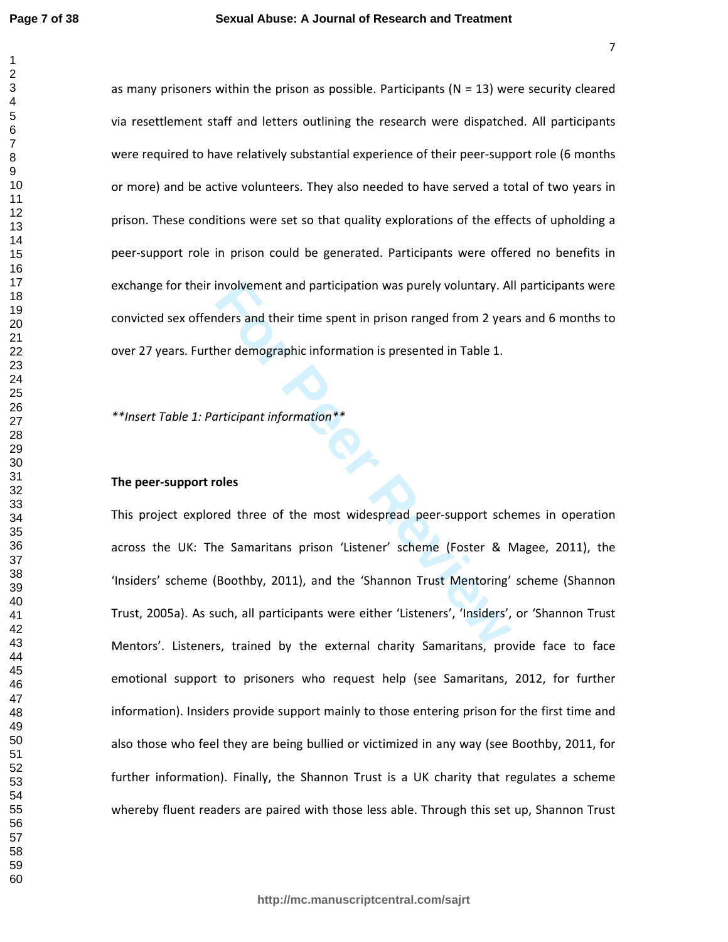as many prisoners within the prison as possible. Participants  $(N = 13)$  were security cleared via resettlement staff and letters outlining the research were dispatched. All participants were required to have relatively substantial experience of their peer-support role (6 months or more) and be active volunteers. They also needed to have served a total of two years in prison. These conditions were set so that quality explorations of the effects of upholding a peer-support role in prison could be generated. Participants were offered no benefits in exchange for their involvement and participation was purely voluntary. All participants were convicted sex offenders and their time spent in prison ranged from 2 years and 6 months to over 27 years. Further demographic information is presented in Table 1.

*\*\*Insert Table 1: Participant information\*\** 

### **The peer-support roles**

involvement and participation was purely voluntary. Alders and their time spent in prison ranged from 2 yea<br>her demographic information is presented in Table 1.<br>articipant information \*\*<br>oles<br>red three of the most widespre This project explored three of the most widespread peer-support schemes in operation across the UK: The Samaritans prison 'Listener' scheme (Foster & Magee, 2011), the 'Insiders' scheme (Boothby, 2011), and the 'Shannon Trust Mentoring' scheme (Shannon Trust, 2005a). As such, all participants were either 'Listeners', 'Insiders', or 'Shannon Trust Mentors'. Listeners, trained by the external charity Samaritans, provide face to face emotional support to prisoners who request help (see Samaritans, 2012, for further information). Insiders provide support mainly to those entering prison for the first time and also those who feel they are being bullied or victimized in any way (see Boothby, 2011, for further information). Finally, the Shannon Trust is a UK charity that regulates a scheme whereby fluent readers are paired with those less able. Through this set up, Shannon Trust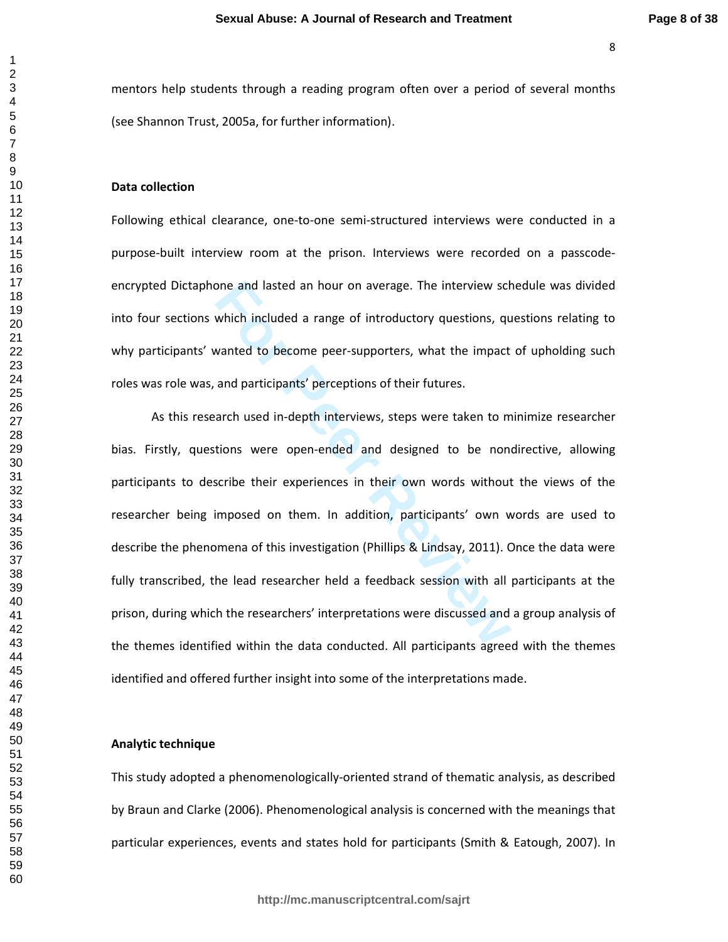mentors help students through a reading program often over a period of several months (see Shannon Trust, 2005a, for further information).

#### **Data collection**

Following ethical clearance, one-to-one semi-structured interviews were conducted in a purpose-built interview room at the prison. Interviews were recorded on a passcodeencrypted Dictaphone and lasted an hour on average. The interview schedule was divided into four sections which included a range of introductory questions, questions relating to why participants' wanted to become peer-supporters, what the impact of upholding such roles was role was, and participants' perceptions of their futures.

one and lasted an hour on average. The interview schement and included a range of introductory questions, que vanted to become peer-supporters, what the impact and participants' perceptions of their futures.<br>
arch used in-As this research used in-depth interviews, steps were taken to minimize researcher bias. Firstly, questions were open-ended and designed to be nondirective, allowing participants to describe their experiences in their own words without the views of the researcher being imposed on them. In addition, participants' own words are used to describe the phenomena of this investigation (Phillips & Lindsay, 2011). Once the data were fully transcribed, the lead researcher held a feedback session with all participants at the prison, during which the researchers' interpretations were discussed and a group analysis of the themes identified within the data conducted. All participants agreed with the themes identified and offered further insight into some of the interpretations made.

### **Analytic technique**

This study adopted a phenomenologically-oriented strand of thematic analysis, as described by Braun and Clarke (2006). Phenomenological analysis is concerned with the meanings that particular experiences, events and states hold for participants (Smith & Eatough, 2007). In

 $\mathbf{1}$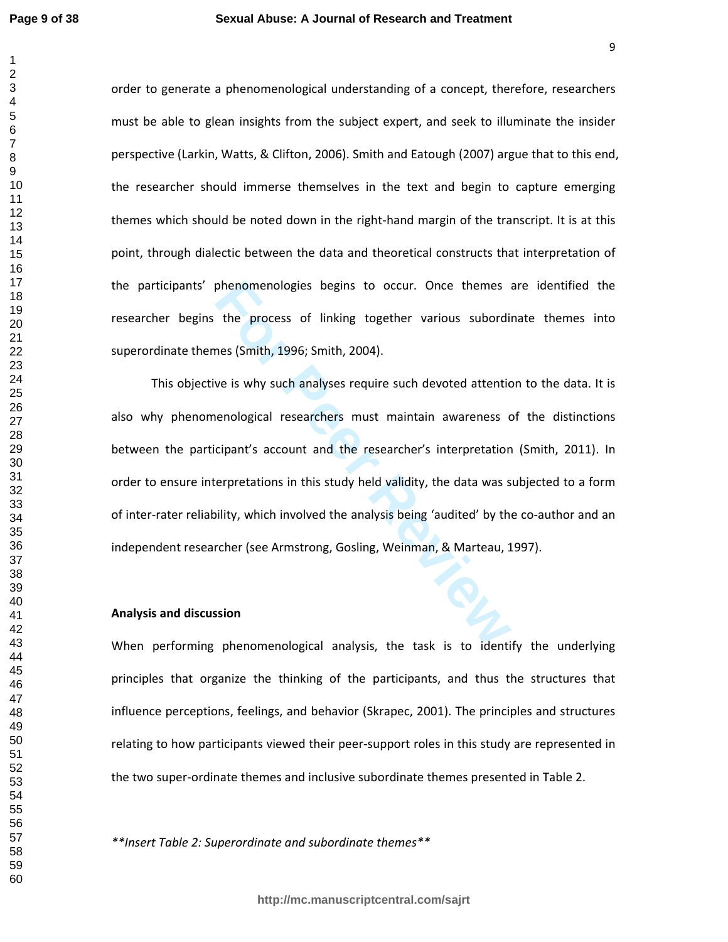order to generate a phenomenological understanding of a concept, therefore, researchers must be able to glean insights from the subject expert, and seek to illuminate the insider perspective (Larkin, Watts, & Clifton, 2006). Smith and Eatough (2007) argue that to this end, the researcher should immerse themselves in the text and begin to capture emerging themes which should be noted down in the right-hand margin of the transcript. It is at this point, through dialectic between the data and theoretical constructs that interpretation of the participants' phenomenologies begins to occur. Once themes are identified the researcher begins the process of linking together various subordinate themes into superordinate themes (Smith, 1996; Smith, 2004).

phenomenologies begins to occur. Once themes a<br>the process of linking together various subordin<br>nes (Smith, 1996; Smith, 2004).<br>we is why such analyses require such devoted attentic<br>nenological researchers must maintain aw This objective is why such analyses require such devoted attention to the data. It is also why phenomenological researchers must maintain awareness of the distinctions between the participant's account and the researcher's interpretation (Smith, 2011). In order to ensure interpretations in this study held validity, the data was subjected to a form of inter-rater reliability, which involved the analysis being 'audited' by the co-author and an independent researcher (see Armstrong, Gosling, Weinman, & Marteau, 1997).

#### **Analysis and discussion**

When performing phenomenological analysis, the task is to identify the underlying principles that organize the thinking of the participants, and thus the structures that influence perceptions, feelings, and behavior (Skrapec, 2001). The principles and structures relating to how participants viewed their peer-support roles in this study are represented in the two super-ordinate themes and inclusive subordinate themes presented in Table 2.

*\*\*Insert Table 2: Superordinate and subordinate themes\*\**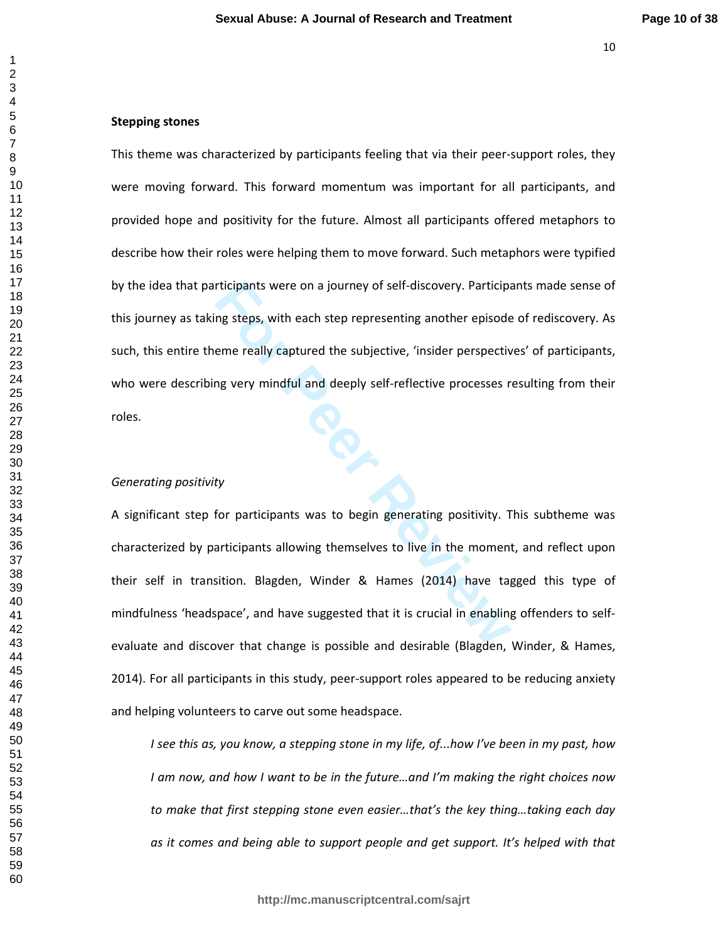### **Stepping stones**

rticipants were on a journey of self-discovery. Participant<br>
In the step representing another episode<br>
In the review of the subjective, 'insider perspective<br>
In the subjective processes representing<br>
In the subjective proc This theme was characterized by participants feeling that via their peer-support roles, they were moving forward. This forward momentum was important for all participants, and provided hope and positivity for the future. Almost all participants offered metaphors to describe how their roles were helping them to move forward. Such metaphors were typified by the idea that participants were on a journey of self-discovery. Participants made sense of this journey as taking steps, with each step representing another episode of rediscovery. As such, this entire theme really captured the subjective, 'insider perspectives' of participants, who were describing very mindful and deeply self-reflective processes resulting from their roles.

### *Generating positivity*

A significant step for participants was to begin generating positivity. This subtheme was characterized by participants allowing themselves to live in the moment, and reflect upon their self in transition. Blagden, Winder & Hames (2014) have tagged this type of mindfulness 'headspace', and have suggested that it is crucial in enabling offenders to selfevaluate and discover that change is possible and desirable (Blagden, Winder, & Hames, 2014). For all participants in this study, peer-support roles appeared to be reducing anxiety and helping volunteers to carve out some headspace.

*I see this as, you know, a stepping stone in my life, of...how I've been in my past, how I am now, and how I want to be in the future…and I'm making the right choices now to make that first stepping stone even easier…that's the key thing…taking each day as it comes and being able to support people and get support. It's helped with that*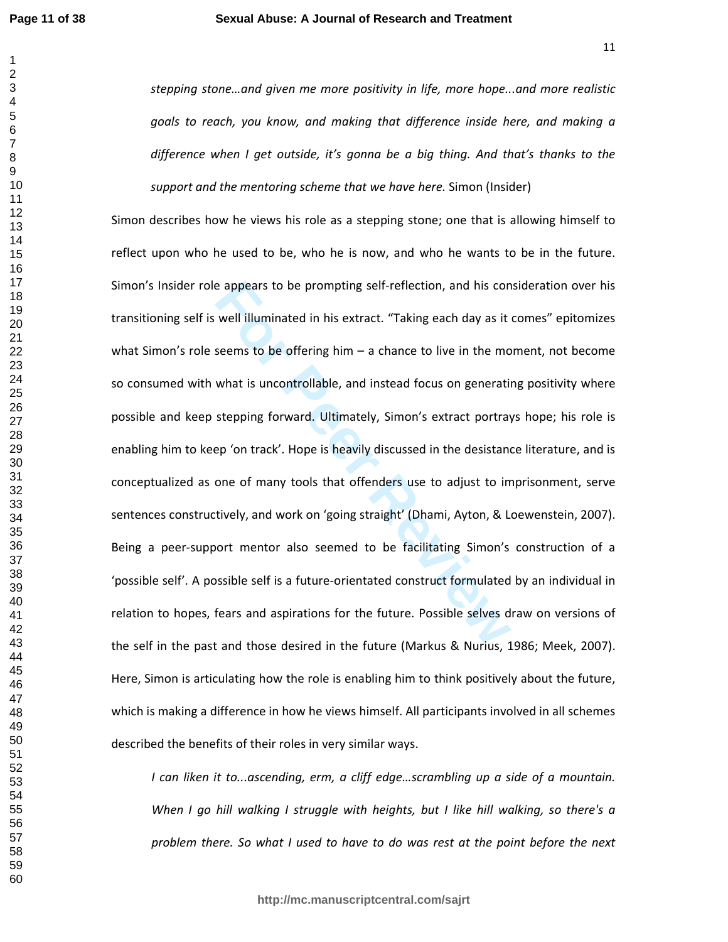$\mathbf{1}$ 

  *stepping stone…and given me more positivity in life, more hope...and more realistic goals to reach, you know, and making that difference inside here, and making a difference when I get outside, it's gonna be a big thing. And that's thanks to the support and the mentoring scheme that we have here.* Simon (Insider)

e appears to be prompting self-reflection, and his con<br>well illuminated in his extract. "Taking each day as it<br>seems to be offering him – a chance to live in the mo<br>what is uncontrollable, and instead focus on generatii<br>st Simon describes how he views his role as a stepping stone; one that is allowing himself to reflect upon who he used to be, who he is now, and who he wants to be in the future. Simon's Insider role appears to be prompting self-reflection, and his consideration over his transitioning self is well illuminated in his extract. "Taking each day as it comes" epitomizes what Simon's role seems to be offering him – a chance to live in the moment, not become so consumed with what is uncontrollable, and instead focus on generating positivity where possible and keep stepping forward. Ultimately, Simon's extract portrays hope; his role is enabling him to keep 'on track'. Hope is heavily discussed in the desistance literature, and is conceptualized as one of many tools that offenders use to adjust to imprisonment, serve sentences constructively, and work on 'going straight' (Dhami, Ayton, & Loewenstein, 2007). Being a peer-support mentor also seemed to be facilitating Simon's construction of a 'possible self'. A possible self is a future-orientated construct formulated by an individual in relation to hopes, fears and aspirations for the future. Possible selves draw on versions of the self in the past and those desired in the future (Markus & Nurius, 1986; Meek, 2007). Here, Simon is articulating how the role is enabling him to think positively about the future, which is making a difference in how he views himself. All participants involved in all schemes described the benefits of their roles in very similar ways.

*I can liken it to...ascending, erm, a cliff edge…scrambling up a side of a mountain. When I go hill walking I struggle with heights, but I like hill walking, so there's a problem there. So what I used to have to do was rest at the point before the next*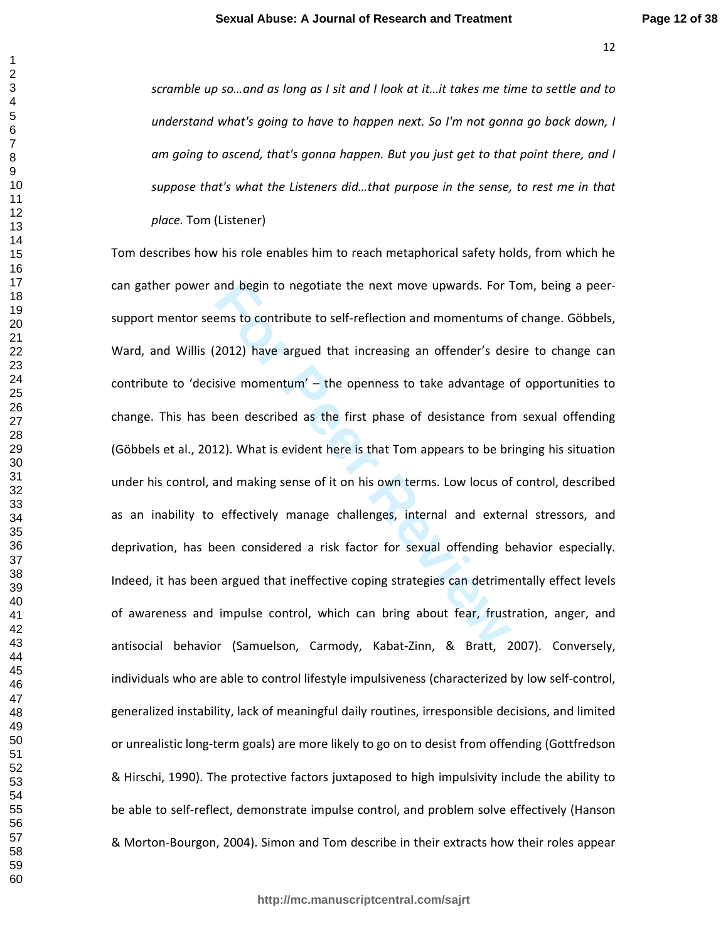*scramble up so…and as long as I sit and I look at it…it takes me time to settle and to understand what's going to have to happen next. So I'm not gonna go back down, I am going to ascend, that's gonna happen. But you just get to that point there, and I suppose that's what the Listeners did…that purpose in the sense, to rest me in that place.* Tom (Listener)

and begin to negotiate the next move upwards. For 1<br>Ems to contribute to self-reflection and momentums of<br>2012) have argued that increasing an offender's des<br>sive momentum' – the openness to take advantage of<br>sive momentum Tom describes how his role enables him to reach metaphorical safety holds, from which he can gather power and begin to negotiate the next move upwards. For Tom, being a peersupport mentor seems to contribute to self-reflection and momentums of change. Göbbels, Ward, and Willis (2012) have argued that increasing an offender's desire to change can contribute to 'decisive momentum' – the openness to take advantage of opportunities to change. This has been described as the first phase of desistance from sexual offending (Göbbels et al., 2012). What is evident here is that Tom appears to be bringing his situation under his control, and making sense of it on his own terms. Low locus of control, described as an inability to effectively manage challenges, internal and external stressors, and deprivation, has been considered a risk factor for sexual offending behavior especially. Indeed, it has been argued that ineffective coping strategies can detrimentally effect levels of awareness and impulse control, which can bring about fear, frustration, anger, and antisocial behavior (Samuelson, Carmody, Kabat-Zinn, & Bratt, 2007). Conversely, individuals who are able to control lifestyle impulsiveness (characterized by low self-control, generalized instability, lack of meaningful daily routines, irresponsible decisions, and limited or unrealistic long-term goals) are more likely to go on to desist from offending (Gottfredson & Hirschi, 1990). The protective factors juxtaposed to high impulsivity include the ability to be able to self-reflect, demonstrate impulse control, and problem solve effectively (Hanson & Morton-Bourgon, 2004). Simon and Tom describe in their extracts how their roles appear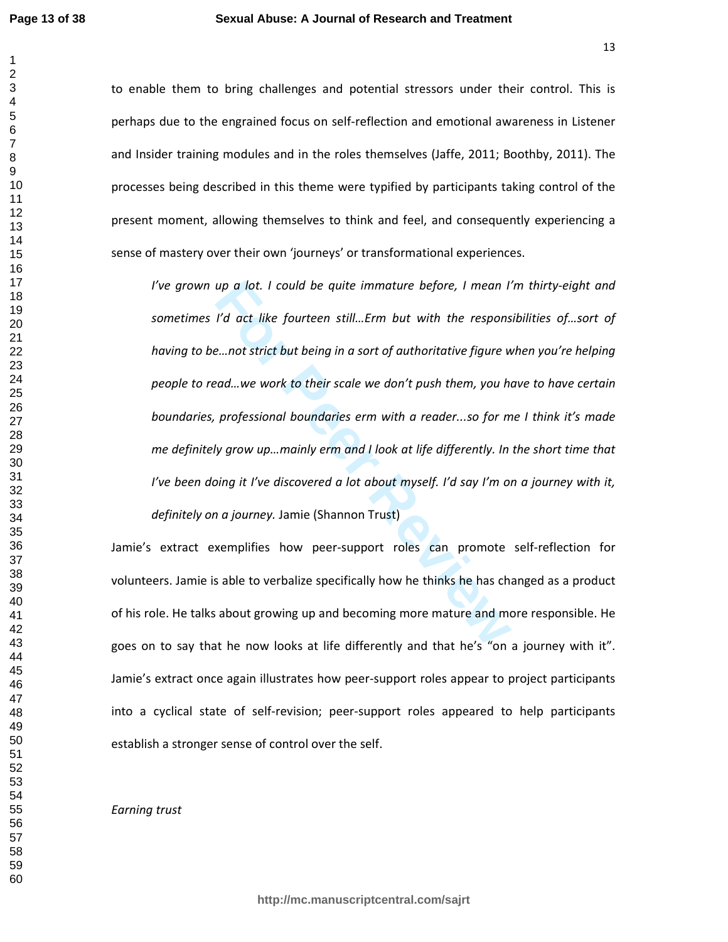to enable them to bring challenges and potential stressors under their control. This is perhaps due to the engrained focus on self-reflection and emotional awareness in Listener and Insider training modules and in the roles themselves (Jaffe, 2011; Boothby, 2011). The processes being described in this theme were typified by participants taking control of the present moment, allowing themselves to think and feel, and consequently experiencing a sense of mastery over their own 'journeys' or transformational experiences.

*up a lot. I could be quite immature before, I mean I'*<br> *Formalize that incremential*<br> *Formalize fourteen still...Erm but with the respons*<br> *Formalize we work to their scale we don't push them, you had and ...we work to I've grown up a lot. I could be quite immature before, I mean I'm thirty-eight and sometimes I'd act like fourteen still…Erm but with the responsibilities of…sort of having to be…not strict but being in a sort of authoritative figure when you're helping people to read…we work to their scale we don't push them, you have to have certain boundaries, professional boundaries erm with a reader...so for me I think it's made me definitely grow up…mainly erm and I look at life differently. In the short time that I've been doing it I've discovered a lot about myself. I'd say I'm on a journey with it, definitely on a journey.* Jamie (Shannon Trust)

Jamie's extract exemplifies how peer-support roles can promote self-reflection for volunteers. Jamie is able to verbalize specifically how he thinks he has changed as a product of his role. He talks about growing up and becoming more mature and more responsible. He goes on to say that he now looks at life differently and that he's "on a journey with it". Jamie's extract once again illustrates how peer-support roles appear to project participants into a cyclical state of self-revision; peer-support roles appeared to help participants establish a stronger sense of control over the self.

*Earning trust*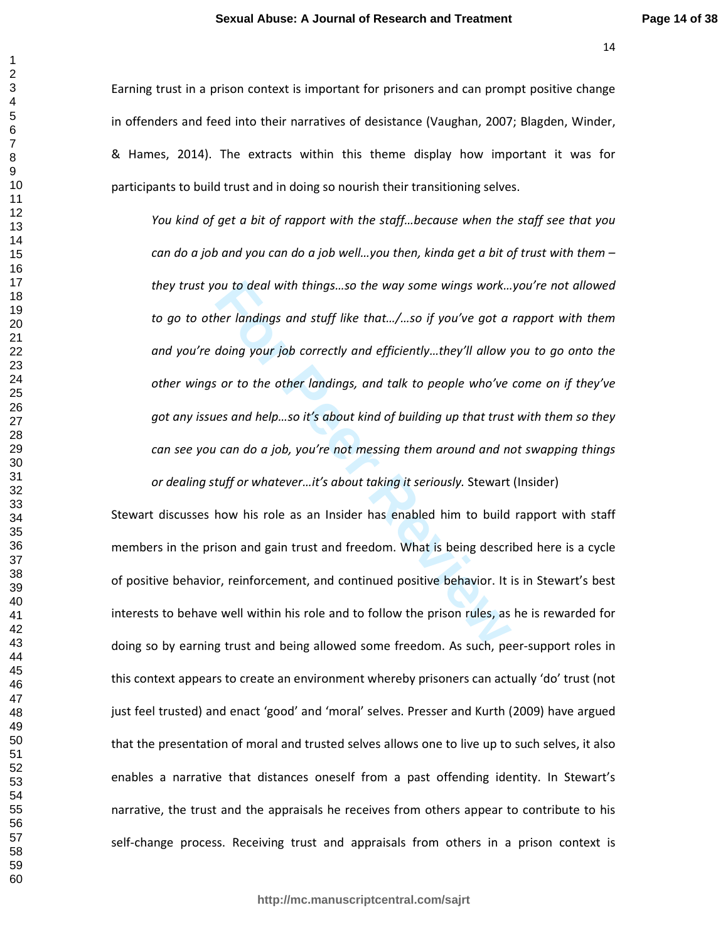Earning trust in a prison context is important for prisoners and can prompt positive change in offenders and feed into their narratives of desistance (Vaughan, 2007; Blagden, Winder, & Hames, 2014). The extracts within this theme display how important it was for participants to build trust and in doing so nourish their transitioning selves.

ou to deal with things...so the way some wings work...<br>her landings and stuff like that.../...so if you've got a<br>doing your job correctly and efficiently...they'll allow y<br>i or to the other landings, and talk to people who *You kind of get a bit of rapport with the staff…because when the staff see that you can do a job and you can do a job well…you then, kinda get a bit of trust with them – they trust you to deal with things…so the way some wings work…you're not allowed to go to other landings and stuff like that…/…so if you've got a rapport with them and you're doing your job correctly and efficiently…they'll allow you to go onto the other wings or to the other landings, and talk to people who've come on if they've got any issues and help…so it's about kind of building up that trust with them so they can see you can do a job, you're not messing them around and not swapping things or dealing stuff or whatever…it's about taking it seriously.* Stewart (Insider)

Stewart discusses how his role as an Insider has enabled him to build rapport with staff members in the prison and gain trust and freedom. What is being described here is a cycle of positive behavior, reinforcement, and continued positive behavior. It is in Stewart's best interests to behave well within his role and to follow the prison rules, as he is rewarded for doing so by earning trust and being allowed some freedom. As such, peer-support roles in this context appears to create an environment whereby prisoners can actually 'do' trust (not just feel trusted) and enact 'good' and 'moral' selves. Presser and Kurth (2009) have argued that the presentation of moral and trusted selves allows one to live up to such selves, it also enables a narrative that distances oneself from a past offending identity. In Stewart's narrative, the trust and the appraisals he receives from others appear to contribute to his self-change process. Receiving trust and appraisals from others in a prison context is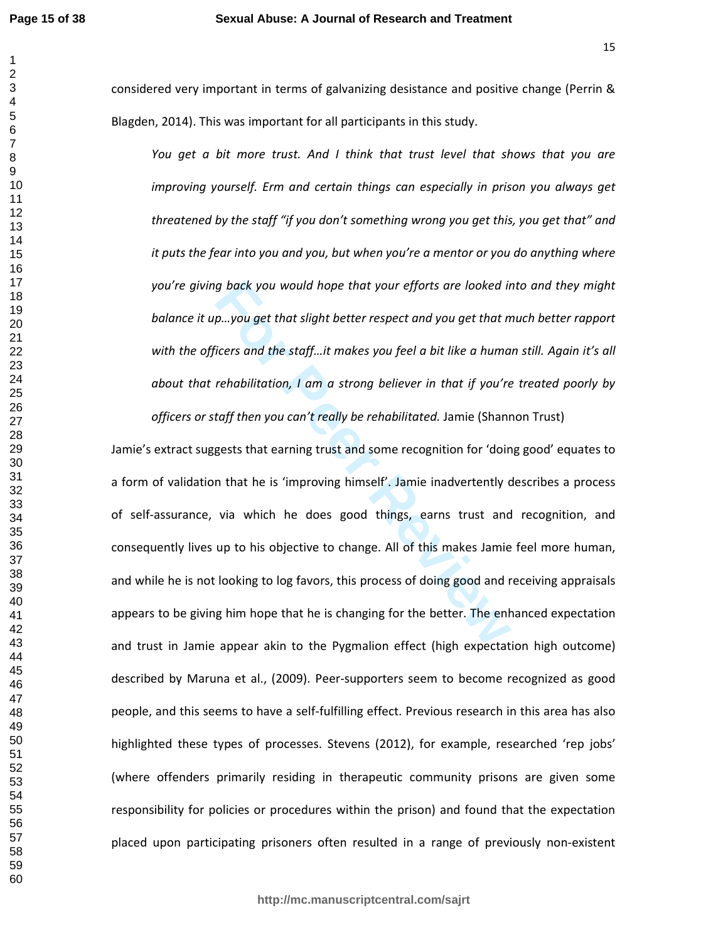considered very important in terms of galvanizing desistance and positive change (Perrin & Blagden, 2014). This was important for all participants in this study.

*You get a bit more trust. And I think that trust level that shows that you are improving yourself. Erm and certain things can especially in prison you always get threatened by the staff "if you don't something wrong you get this, you get that" and it puts the fear into you and you, but when you're a mentor or you do anything where you're giving back you would hope that your efforts are looked into and they might balance it up…you get that slight better respect and you get that much better rapport with the officers and the staff…it makes you feel a bit like a human still. Again it's all about that rehabilitation, I am a strong believer in that if you're treated poorly by* 

*officers or staff then you can't really be rehabilitated.* Jamie (Shannon Trust)

*g* back you would hope that your efforts are looked in<br>*Formalies of that slight better respect and you get that n*<br>icers and the staff...it makes you feel a bit like a huma<br>rehabilitation, I am a strong believer in that Jamie's extract suggests that earning trust and some recognition for 'doing good' equates to a form of validation that he is 'improving himself'. Jamie inadvertently describes a process of self-assurance, via which he does good things, earns trust and recognition, and consequently lives up to his objective to change. All of this makes Jamie feel more human, and while he is not looking to log favors, this process of doing good and receiving appraisals appears to be giving him hope that he is changing for the better. The enhanced expectation and trust in Jamie appear akin to the Pygmalion effect (high expectation high outcome) described by Maruna et al., (2009). Peer-supporters seem to become recognized as good people, and this seems to have a self-fulfilling effect. Previous research in this area has also highlighted these types of processes. Stevens (2012), for example, researched 'rep jobs' (where offenders primarily residing in therapeutic community prisons are given some responsibility for policies or procedures within the prison) and found that the expectation placed upon participating prisoners often resulted in a range of previously non-existent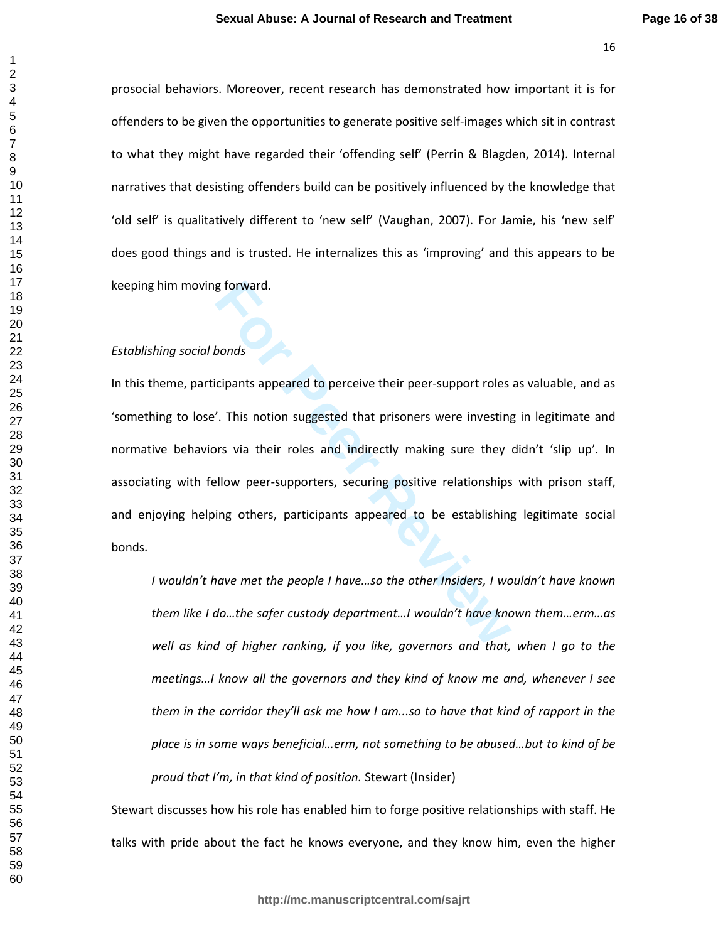prosocial behaviors. Moreover, recent research has demonstrated how important it is for offenders to be given the opportunities to generate positive self-images which sit in contrast to what they might have regarded their 'offending self' (Perrin & Blagden, 2014). Internal narratives that desisting offenders build can be positively influenced by the knowledge that 'old self' is qualitatively different to 'new self' (Vaughan, 2007). For Jamie, his 'new self' does good things and is trusted. He internalizes this as 'improving' and this appears to be keeping him moving forward.

## *Establishing social bonds*

poords<br>
Forward.<br>
For Peer Support roles<br>
For Peer Supporters were investing<br>
For Peer Supporters, securing positive relationships<br>
For Peer Supporters, securing positive relationships<br>
For Peer Supporters, securing positi In this theme, participants appeared to perceive their peer-support roles as valuable, and as 'something to lose'. This notion suggested that prisoners were investing in legitimate and normative behaviors via their roles and indirectly making sure they didn't 'slip up'. In associating with fellow peer-supporters, securing positive relationships with prison staff, and enjoying helping others, participants appeared to be establishing legitimate social bonds.

*I wouldn't have met the people I have…so the other Insiders, I wouldn't have known them like I do…the safer custody department…I wouldn't have known them…erm…as well as kind of higher ranking, if you like, governors and that, when I go to the meetings…I know all the governors and they kind of know me and, whenever I see them in the corridor they'll ask me how I am...so to have that kind of rapport in the place is in some ways beneficial…erm, not something to be abused…but to kind of be proud that I'm, in that kind of position.* Stewart (Insider)

Stewart discusses how his role has enabled him to forge positive relationships with staff. He talks with pride about the fact he knows everyone, and they know him, even the higher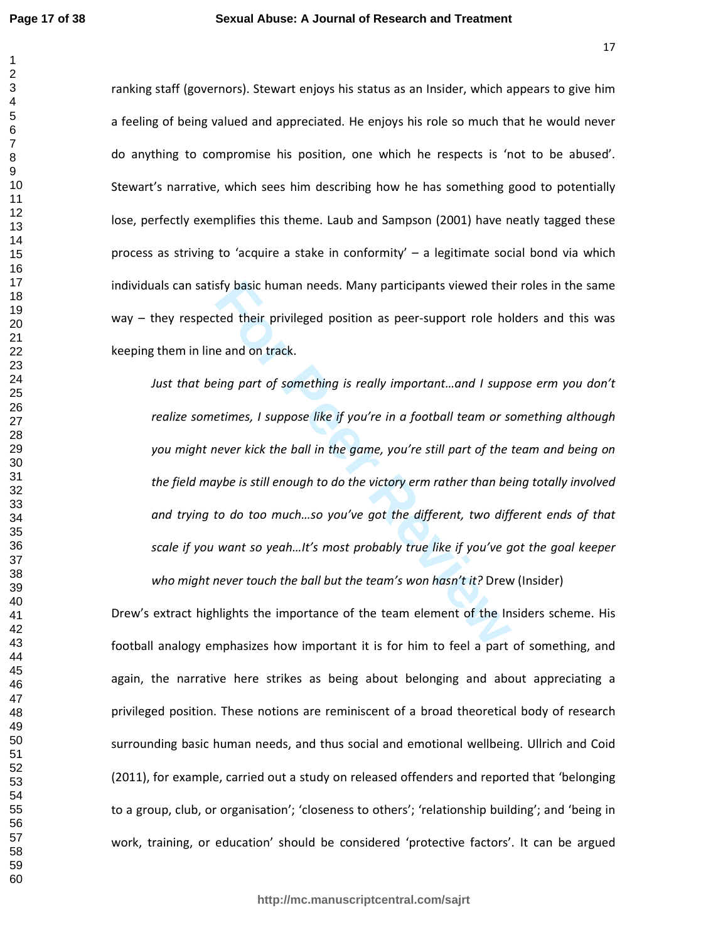ranking staff (governors). Stewart enjoys his status as an Insider, which appears to give him a feeling of being valued and appreciated. He enjoys his role so much that he would never do anything to compromise his position, one which he respects is 'not to be abused'. Stewart's narrative, which sees him describing how he has something good to potentially lose, perfectly exemplifies this theme. Laub and Sampson (2001) have neatly tagged these process as striving to 'acquire a stake in conformity' – a legitimate social bond via which individuals can satisfy basic human needs. Many participants viewed their roles in the same way – they respected their privileged position as peer-support role holders and this was keeping them in line and on track.

**For the set of the set of the set of the set of the set of the set of the set of their privileged position as peer-support role ho<br>
<b>Example 18 and on track.**<br> **For Peer Suppose like if you're in a football team or state** *Just that being part of something is really important...and I suppose erm you don't realize sometimes, I suppose like if you're in a football team or something although you might never kick the ball in the game, you're still part of the team and being on the field maybe is still enough to do the victory erm rather than being totally involved and trying to do too much…so you've got the different, two different ends of that scale if you want so yeah…It's most probably true like if you've got the goal keeper who might never touch the ball but the team's won hasn't it?* Drew (Insider)

Drew's extract highlights the importance of the team element of the Insiders scheme. His football analogy emphasizes how important it is for him to feel a part of something, and again, the narrative here strikes as being about belonging and about appreciating a privileged position. These notions are reminiscent of a broad theoretical body of research surrounding basic human needs, and thus social and emotional wellbeing. Ullrich and Coid (2011), for example, carried out a study on released offenders and reported that 'belonging to a group, club, or organisation'; 'closeness to others'; 'relationship building'; and 'being in work, training, or education' should be considered 'protective factors'. It can be argued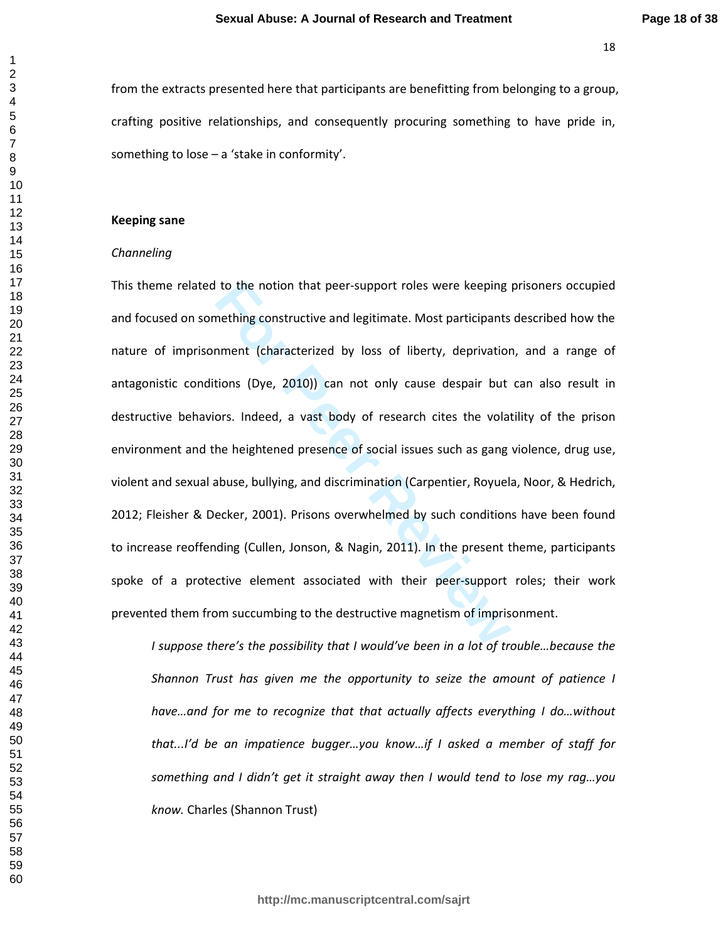from the extracts presented here that participants are benefitting from belonging to a group, crafting positive relationships, and consequently procuring something to have pride in, something to lose – a 'stake in conformity'.

### **Keeping sane**

### *Channeling*

to the notion that peer-support roles were keeping<br>mething constructive and legitimate. Most participants<br>nment (characterized by loss of liberty, deprivatior<br>tions (Dye, 2010)) can not only cause despair but<br>ors. Indeed, This theme related to the notion that peer-support roles were keeping prisoners occupied and focused on something constructive and legitimate. Most participants described how the nature of imprisonment (characterized by loss of liberty, deprivation, and a range of antagonistic conditions (Dye, 2010)) can not only cause despair but can also result in destructive behaviors. Indeed, a vast body of research cites the volatility of the prison environment and the heightened presence of social issues such as gang violence, drug use, violent and sexual abuse, bullying, and discrimination (Carpentier, Royuela, Noor, & Hedrich, 2012; Fleisher & Decker, 2001). Prisons overwhelmed by such conditions have been found to increase reoffending (Cullen, Jonson, & Nagin, 2011). In the present theme, participants spoke of a protective element associated with their peer-support roles; their work prevented them from succumbing to the destructive magnetism of imprisonment.

*I suppose there's the possibility that I would've been in a lot of trouble…because the Shannon Trust has given me the opportunity to seize the amount of patience I have…and for me to recognize that that actually affects everything I do…without that...I'd be an impatience bugger…you know…if I asked a member of staff for something and I didn't get it straight away then I would tend to lose my rag…you know.* Charles (Shannon Trust)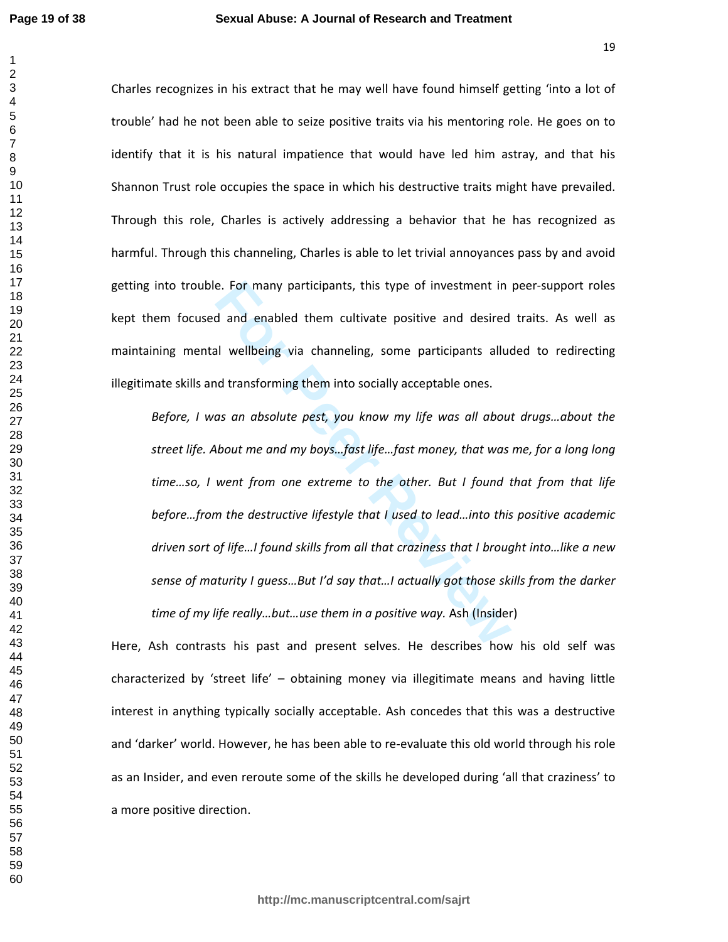Charles recognizes in his extract that he may well have found himself getting 'into a lot of trouble' had he not been able to seize positive traits via his mentoring role. He goes on to identify that it is his natural impatience that would have led him astray, and that his Shannon Trust role occupies the space in which his destructive traits might have prevailed. Through this role, Charles is actively addressing a behavior that he has recognized as harmful. Through this channeling, Charles is able to let trivial annoyances pass by and avoid getting into trouble. For many participants, this type of investment in peer-support roles kept them focused and enabled them cultivate positive and desired traits. As well as maintaining mental wellbeing via channeling, some participants alluded to redirecting illegitimate skills and transforming them into socially acceptable ones.

**For Peer Review** *Before, I was an absolute pest, you know my life was all about drugs…about the street life. About me and my boys…fast life…fast money, that was me, for a long long time…so, I went from one extreme to the other. But I found that from that life before…from the destructive lifestyle that I used to lead…into this positive academic driven sort of life…I found skills from all that craziness that I brought into…like a new sense of maturity I guess…But I'd say that…I actually got those skills from the darker time of my life really…but…use them in a positive way.* Ash (Insider)

Here, Ash contrasts his past and present selves. He describes how his old self was characterized by 'street life' – obtaining money via illegitimate means and having little interest in anything typically socially acceptable. Ash concedes that this was a destructive and 'darker' world. However, he has been able to re-evaluate this old world through his role as an Insider, and even reroute some of the skills he developed during 'all that craziness' to a more positive direction.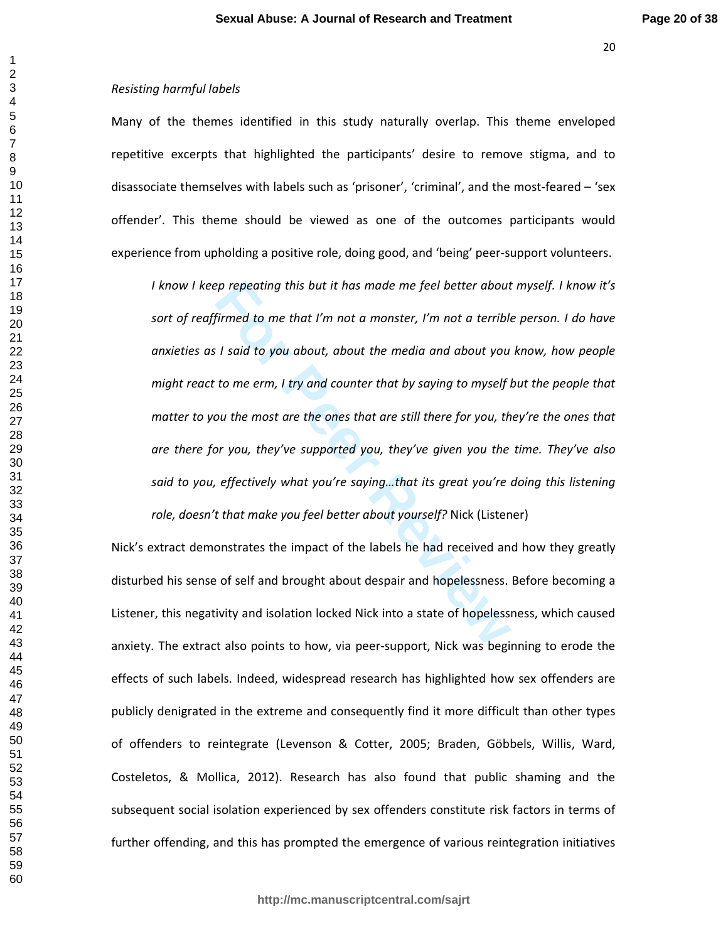## *Resisting harmful labels*

Many of the themes identified in this study naturally overlap. This theme enveloped repetitive excerpts that highlighted the participants' desire to remove stigma, and to disassociate themselves with labels such as 'prisoner', 'criminal', and the most-feared – 'sex offender'. This theme should be viewed as one of the outcomes participants would experience from upholding a positive role, doing good, and 'being' peer-support volunteers.

prepeating this but it has made me feel better about<br>
firmed to me that I'm not a monster, I'm not a terrible<br> **For A standary the B and A standary to the Proper Property of the most are the ones that are still there for y** *I know I keep repeating this but it has made me feel better about myself. I know it's sort of reaffirmed to me that I'm not a monster, I'm not a terrible person. I do have anxieties as I said to you about, about the media and about you know, how people might react to me erm, I try and counter that by saying to myself but the people that matter to you the most are the ones that are still there for you, they're the ones that are there for you, they've supported you, they've given you the time. They've also said to you, effectively what you're saying…that its great you're doing this listening role, doesn't that make you feel better about yourself?* Nick (Listener)

Nick's extract demonstrates the impact of the labels he had received and how they greatly disturbed his sense of self and brought about despair and hopelessness. Before becoming a Listener, this negativity and isolation locked Nick into a state of hopelessness, which caused anxiety. The extract also points to how, via peer-support, Nick was beginning to erode the effects of such labels. Indeed, widespread research has highlighted how sex offenders are publicly denigrated in the extreme and consequently find it more difficult than other types of offenders to reintegrate (Levenson & Cotter, 2005; Braden, Göbbels, Willis, Ward, Costeletos, & Mollica, 2012). Research has also found that public shaming and the subsequent social isolation experienced by sex offenders constitute risk factors in terms of further offending, and this has prompted the emergence of various reintegration initiatives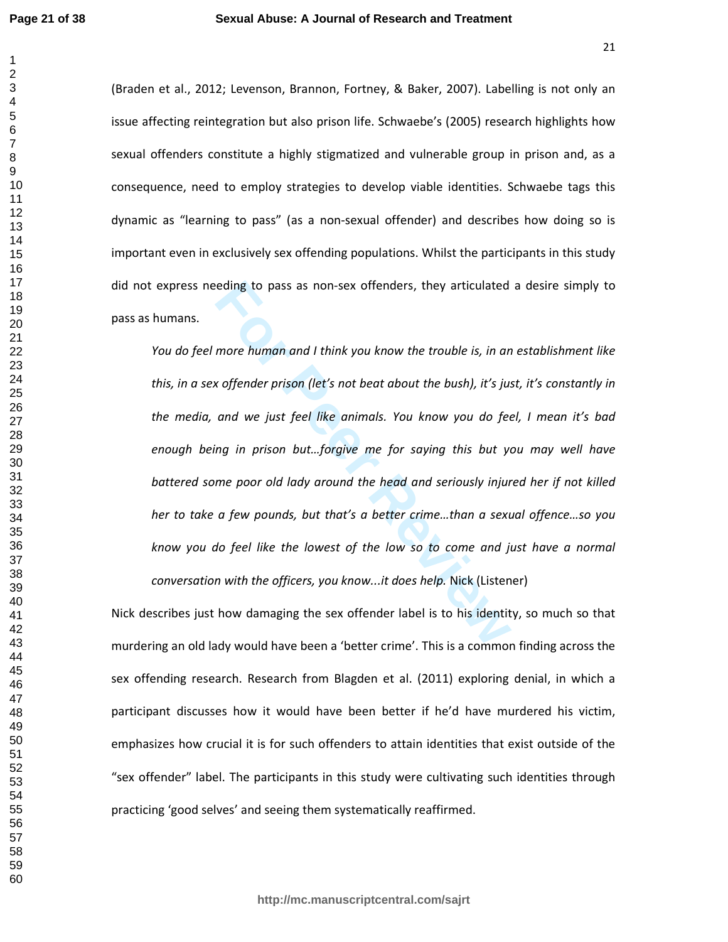### **Sexual Abuse: A Journal of Research and Treatment**

(Braden et al., 2012; Levenson, Brannon, Fortney, & Baker, 2007). Labelling is not only an issue affecting reintegration but also prison life. Schwaebe's (2005) research highlights how sexual offenders constitute a highly stigmatized and vulnerable group in prison and, as a consequence, need to employ strategies to develop viable identities. Schwaebe tags this dynamic as "learning to pass" (as a non-sexual offender) and describes how doing so is important even in exclusively sex offending populations. Whilst the participants in this study did not express needing to pass as non-sex offenders, they articulated a desire simply to pass as humans.

reding to pass as non-sex offenders, they articulated<br>
more human and I think you know the trouble is, in an<br> **For All and We** just feel like animals. You know you do fee<br>
ing in prison but...forgive me for saying this but *You do feel more human and I think you know the trouble is, in an establishment like this, in a sex offender prison (let's not beat about the bush), it's just, it's constantly in the media, and we just feel like animals. You know you do feel, I mean it's bad enough being in prison but…forgive me for saying this but you may well have battered some poor old lady around the head and seriously injured her if not killed her to take a few pounds, but that's a better crime…than a sexual offence…so you know you do feel like the lowest of the low so to come and just have a normal conversation with the officers, you know...it does help.* Nick (Listener)

Nick describes just how damaging the sex offender label is to his identity, so much so that murdering an old lady would have been a 'better crime'. This is a common finding across the sex offending research. Research from Blagden et al. (2011) exploring denial, in which a participant discusses how it would have been better if he'd have murdered his victim, emphasizes how crucial it is for such offenders to attain identities that exist outside of the "sex offender" label. The participants in this study were cultivating such identities through practicing 'good selves' and seeing them systematically reaffirmed.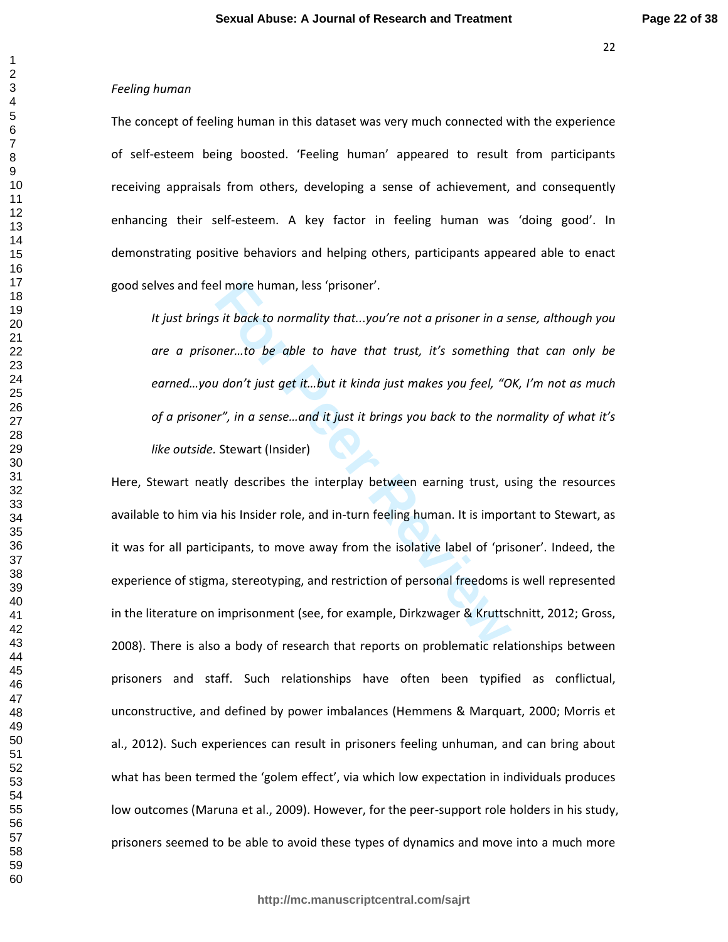$\mathbf{1}$ 

## *Feeling human*

The concept of feeling human in this dataset was very much connected with the experience of self-esteem being boosted. 'Feeling human' appeared to result from participants receiving appraisals from others, developing a sense of achievement, and consequently enhancing their self-esteem. A key factor in feeling human was 'doing good'. In demonstrating positive behaviors and helping others, participants appeared able to enact good selves and feel more human, less 'prisoner'.

*It just brings it back to normality that...you're not a prisoner in a sense, although you are a prisoner…to be able to have that trust, it's something that can only be earned…you don't just get it…but it kinda just makes you feel, "OK, I'm not as much of a prisoner", in a sense…and it just it brings you back to the normality of what it's like outside.* Stewart (Insider)

**Formularity that All more human, less 'prisoner'.**<br> **Formular Standard Standard Standard Weighter Standard Weighter Standard Weighter Standard Weight Weight Weight Weight Weight Weight Weight Weight Weight Weight Weight W** Here, Stewart neatly describes the interplay between earning trust, using the resources available to him via his Insider role, and in-turn feeling human. It is important to Stewart, as it was for all participants, to move away from the isolative label of 'prisoner'. Indeed, the experience of stigma, stereotyping, and restriction of personal freedoms is well represented in the literature on imprisonment (see, for example, Dirkzwager & Kruttschnitt, 2012; Gross, 2008). There is also a body of research that reports on problematic relationships between prisoners and staff. Such relationships have often been typified as conflictual, unconstructive, and defined by power imbalances (Hemmens & Marquart, 2000; Morris et al., 2012). Such experiences can result in prisoners feeling unhuman, and can bring about what has been termed the 'golem effect', via which low expectation in individuals produces low outcomes (Maruna et al., 2009). However, for the peer-support role holders in his study, prisoners seemed to be able to avoid these types of dynamics and move into a much more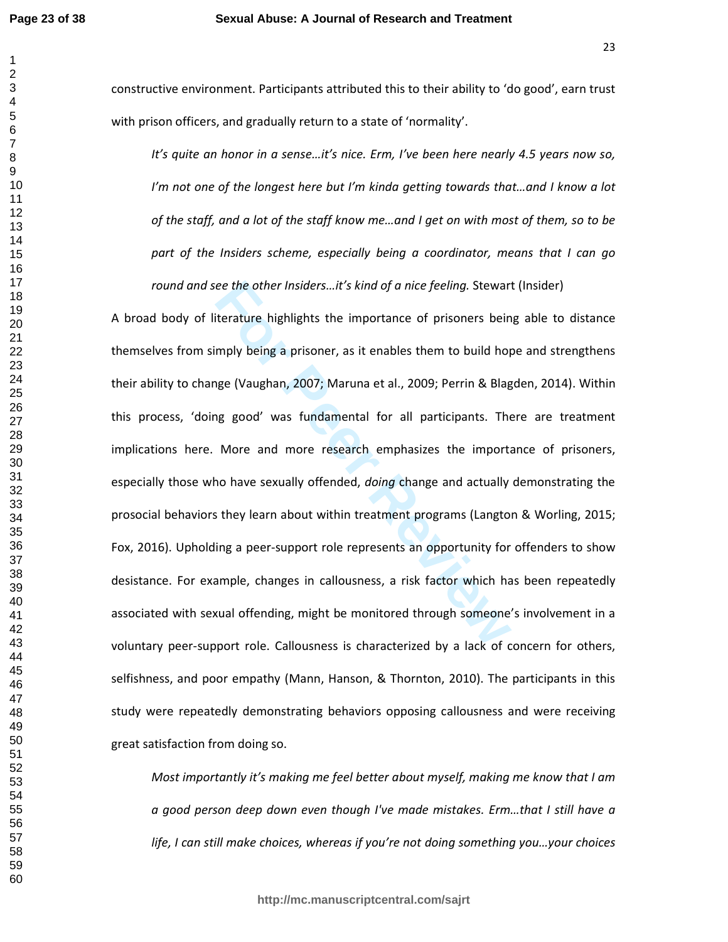constructive environment. Participants attributed this to their ability to 'do good', earn trust with prison officers, and gradually return to a state of 'normality'.

*It's quite an honor in a sense…it's nice. Erm, I've been here nearly 4.5 years now so, I'm not one of the longest here but I'm kinda getting towards that…and I know a lot of the staff, and a lot of the staff know me…and I get on with most of them, so to be part of the Insiders scheme, especially being a coordinator, means that I can go round and see the other Insiders…it's kind of a nice feeling.* Stewart (Insider)

**For Peer Review** A broad body of literature highlights the importance of prisoners being able to distance themselves from simply being a prisoner, as it enables them to build hope and strengthens their ability to change (Vaughan, 2007; Maruna et al., 2009; Perrin & Blagden, 2014). Within this process, 'doing good' was fundamental for all participants. There are treatment implications here. More and more research emphasizes the importance of prisoners, especially those who have sexually offended, *doing* change and actually demonstrating the prosocial behaviors they learn about within treatment programs (Langton & Worling, 2015; Fox, 2016). Upholding a peer-support role represents an opportunity for offenders to show desistance. For example, changes in callousness, a risk factor which has been repeatedly associated with sexual offending, might be monitored through someone's involvement in a voluntary peer-support role. Callousness is characterized by a lack of concern for others, selfishness, and poor empathy (Mann, Hanson, & Thornton, 2010). The participants in this study were repeatedly demonstrating behaviors opposing callousness and were receiving great satisfaction from doing so.

*Most importantly it's making me feel better about myself, making me know that I am a good person deep down even though I've made mistakes. Erm…that I still have a life, I can still make choices, whereas if you're not doing something you…your choices*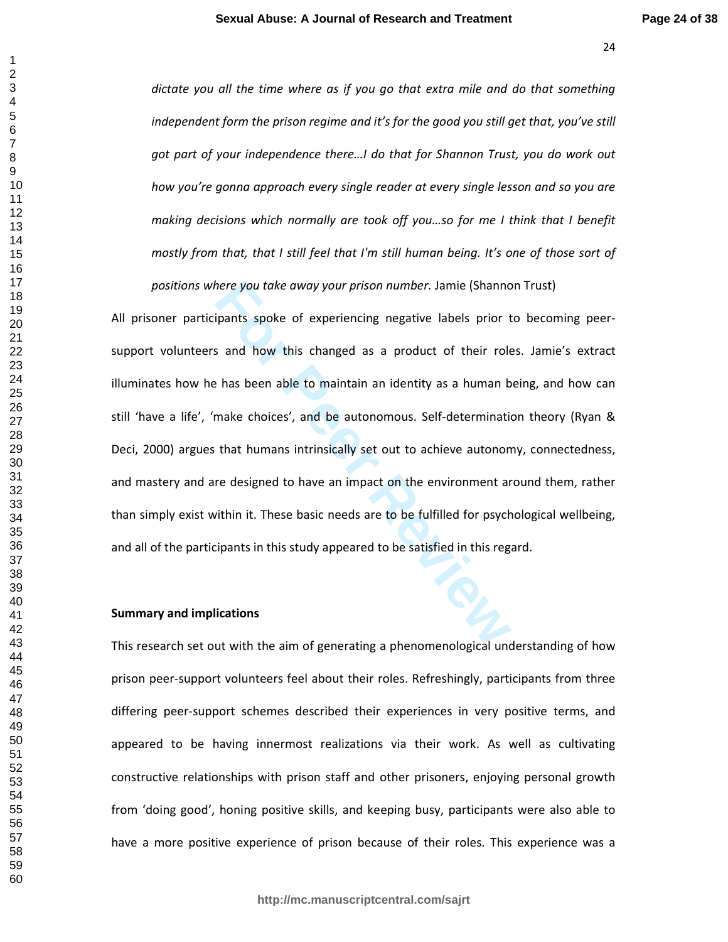*dictate you all the time where as if you go that extra mile and do that something independent form the prison regime and it's for the good you still get that, you've still got part of your independence there…I do that for Shannon Trust, you do work out how you're gonna approach every single reader at every single lesson and so you are making decisions which normally are took off you…so for me I think that I benefit mostly from that, that I still feel that I'm still human being. It's one of those sort of positions where you take away your prison number.* Jamie (Shannon Trust)

here you take away your prison number. Jamie (Shanno<br>
spants spoke of experiencing negative labels prior t<br>
s and how this changed as a product of their role<br>
e has been able to maintain an identity as a human b<br>
make choi All prisoner participants spoke of experiencing negative labels prior to becoming peersupport volunteers and how this changed as a product of their roles. Jamie's extract illuminates how he has been able to maintain an identity as a human being, and how can still 'have a life', 'make choices', and be autonomous. Self-determination theory (Ryan & Deci, 2000) argues that humans intrinsically set out to achieve autonomy, connectedness, and mastery and are designed to have an impact on the environment around them, rather than simply exist within it. These basic needs are to be fulfilled for psychological wellbeing, and all of the participants in this study appeared to be satisfied in this regard.

### **Summary and implications**

This research set out with the aim of generating a phenomenological understanding of how prison peer-support volunteers feel about their roles. Refreshingly, participants from three differing peer-support schemes described their experiences in very positive terms, and appeared to be having innermost realizations via their work. As well as cultivating constructive relationships with prison staff and other prisoners, enjoying personal growth from 'doing good', honing positive skills, and keeping busy, participants were also able to have a more positive experience of prison because of their roles. This experience was a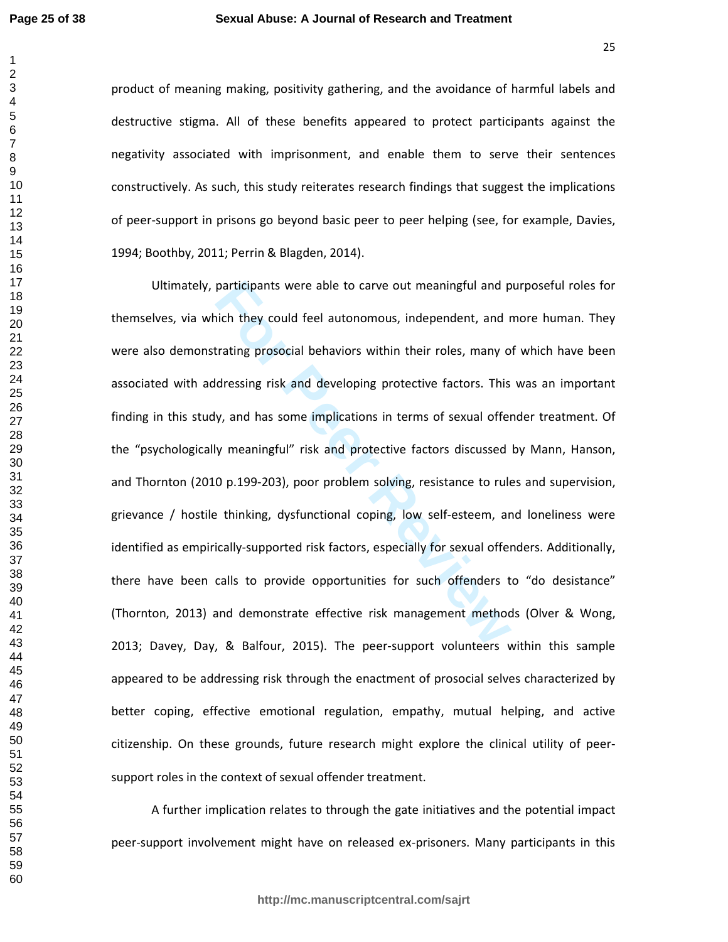product of meaning making, positivity gathering, and the avoidance of harmful labels and destructive stigma. All of these benefits appeared to protect participants against the negativity associated with imprisonment, and enable them to serve their sentences constructively. As such, this study reiterates research findings that suggest the implications of peer-support in prisons go beyond basic peer to peer helping (see, for example, Davies, 1994; Boothby, 2011; Perrin & Blagden, 2014).

participants were able to carve out meaningful and p<br>
pich they could feel autonomous, independent, and r<br>
trating prosocial behaviors within their roles, many o<br>
ddressing risk and developing protective factors. This<br>
y, Ultimately, participants were able to carve out meaningful and purposeful roles for themselves, via which they could feel autonomous, independent, and more human. They were also demonstrating prosocial behaviors within their roles, many of which have been associated with addressing risk and developing protective factors. This was an important finding in this study, and has some implications in terms of sexual offender treatment. Of the "psychologically meaningful" risk and protective factors discussed by Mann, Hanson, and Thornton (2010 p.199-203), poor problem solving, resistance to rules and supervision, grievance / hostile thinking, dysfunctional coping, low self-esteem, and loneliness were identified as empirically-supported risk factors, especially for sexual offenders. Additionally, there have been calls to provide opportunities for such offenders to "do desistance" (Thornton, 2013) and demonstrate effective risk management methods (Olver & Wong, 2013; Davey, Day, & Balfour, 2015). The peer-support volunteers within this sample appeared to be addressing risk through the enactment of prosocial selves characterized by better coping, effective emotional regulation, empathy, mutual helping, and active citizenship. On these grounds, future research might explore the clinical utility of peersupport roles in the context of sexual offender treatment.

A further implication relates to through the gate initiatives and the potential impact peer-support involvement might have on released ex-prisoners. Many participants in this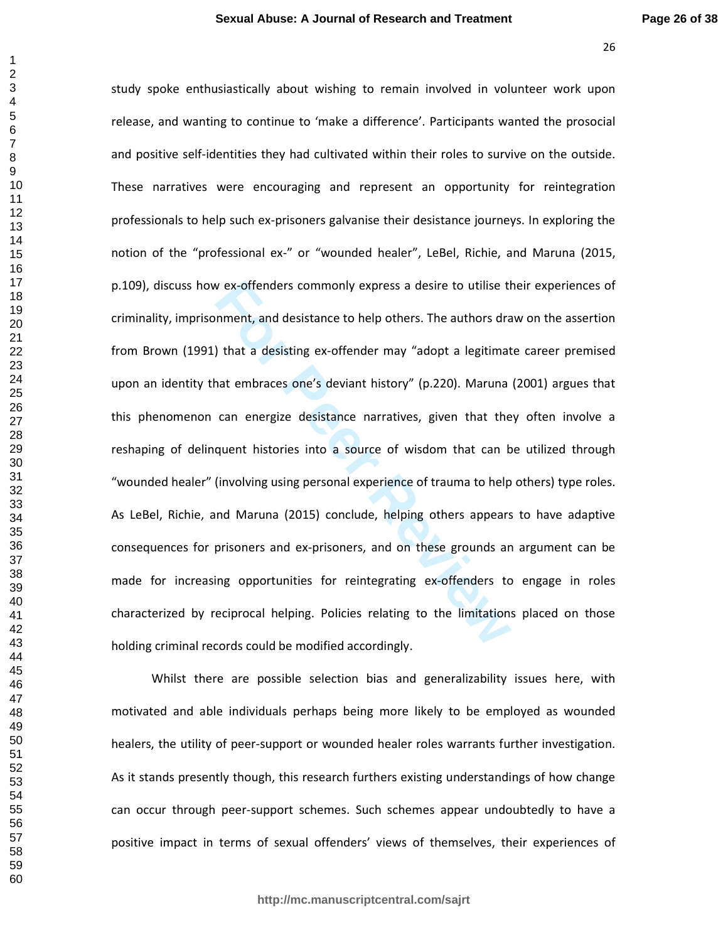rex-offenders commonly express a desire to utilise the unit and desistance to help others. The authors draption that a desisting ex-offender may "adopt a legitimate and tembraces one's deviant history" (p.220). Maruna can study spoke enthusiastically about wishing to remain involved in volunteer work upon release, and wanting to continue to 'make a difference'. Participants wanted the prosocial and positive self-identities they had cultivated within their roles to survive on the outside. These narratives were encouraging and represent an opportunity for reintegration professionals to help such ex-prisoners galvanise their desistance journeys. In exploring the notion of the "professional ex-" or "wounded healer", LeBel, Richie, and Maruna (2015, p.109), discuss how ex-offenders commonly express a desire to utilise their experiences of criminality, imprisonment, and desistance to help others. The authors draw on the assertion from Brown (1991) that a desisting ex-offender may "adopt a legitimate career premised upon an identity that embraces one's deviant history" (p.220). Maruna (2001) argues that this phenomenon can energize desistance narratives, given that they often involve a reshaping of delinquent histories into a source of wisdom that can be utilized through "wounded healer" (involving using personal experience of trauma to help others) type roles. As LeBel, Richie, and Maruna (2015) conclude, helping others appears to have adaptive consequences for prisoners and ex-prisoners, and on these grounds an argument can be made for increasing opportunities for reintegrating ex-offenders to engage in roles characterized by reciprocal helping. Policies relating to the limitations placed on those holding criminal records could be modified accordingly.

Whilst there are possible selection bias and generalizability issues here, with motivated and able individuals perhaps being more likely to be employed as wounded healers, the utility of peer-support or wounded healer roles warrants further investigation. As it stands presently though, this research furthers existing understandings of how change can occur through peer-support schemes. Such schemes appear undoubtedly to have a positive impact in terms of sexual offenders' views of themselves, their experiences of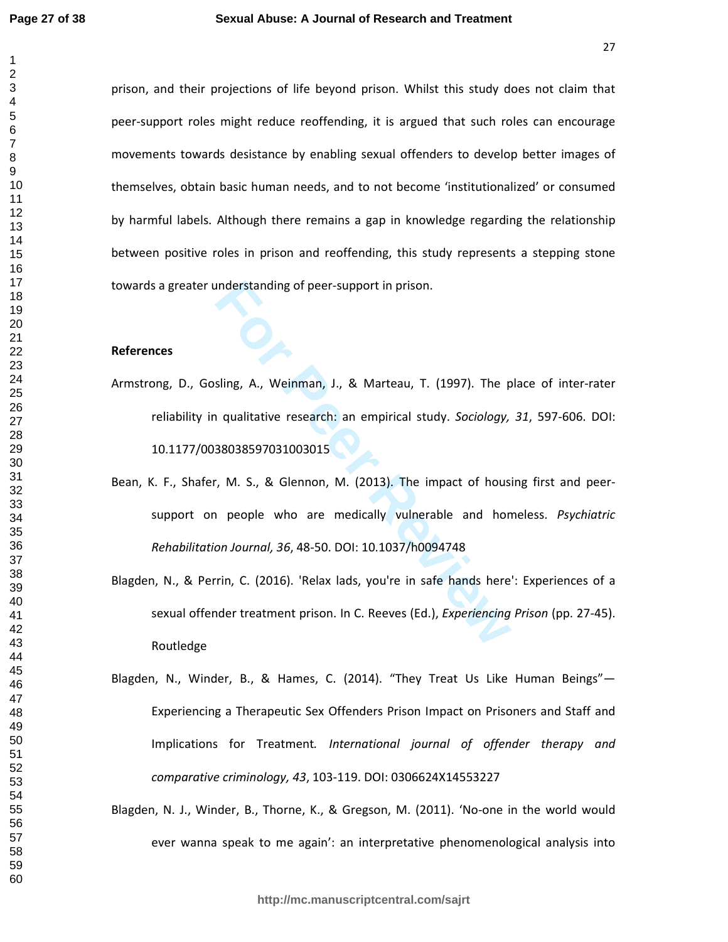prison, and their projections of life beyond prison. Whilst this study does not claim that peer-support roles might reduce reoffending, it is argued that such roles can encourage movements towards desistance by enabling sexual offenders to develop better images of themselves, obtain basic human needs, and to not become 'institutionalized' or consumed by harmful labels. Although there remains a gap in knowledge regarding the relationship between positive roles in prison and reoffending, this study represents a stepping stone towards a greater understanding of peer-support in prison.

### **References**

- Armstrong, D., Gosling, A., Weinman, J., & Marteau, T. (1997). The place of inter-rater reliability in qualitative research: an empirical study. *Sociology, 31*, 597-606. DOI: 10.1177/0038038597031003015
- Inderstanding of peer-support in prison.<br> **Formally A., Weinman, J., & Marteau, T. (1997).** The p<br> **Formally increaded as a superior of the p**<br> **Formally increaded as SUPS 10.1037/hologity**<br> **Formally increaded and honon J** Bean, K. F., Shafer, M. S., & Glennon, M. (2013). The impact of housing first and peersupport on people who are medically vulnerable and homeless. *Psychiatric Rehabilitation Journal, 36*, 48-50. DOI: 10.1037/h0094748
- Blagden, N., & Perrin, C. (2016). 'Relax lads, you're in safe hands here': Experiences of a sexual offender treatment prison. In C. Reeves (Ed.), *Experiencing Prison* (pp. 27-45). Routledge
- Blagden, N., Winder, B., & Hames, C. (2014). "They Treat Us Like Human Beings"— Experiencing a Therapeutic Sex Offenders Prison Impact on Prisoners and Staff and Implications for Treatment*. International journal of offender therapy and comparative criminology, 43*, 103-119. DOI: 0306624X14553227
- Blagden, N. J., Winder, B., Thorne, K., & Gregson, M. (2011). 'No-one in the world would ever wanna speak to me again': an interpretative phenomenological analysis into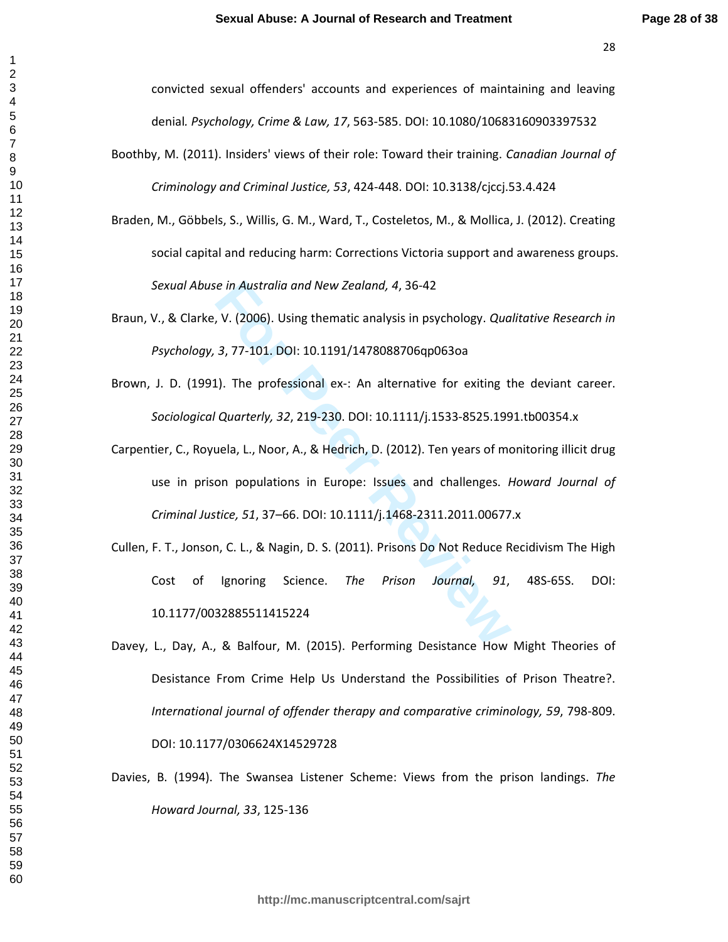convicted sexual offenders' accounts and experiences of maintaining and leaving denial*. Psychology, Crime & Law, 17*, 563-585. DOI: 10.1080/10683160903397532

- Boothby, M. (2011). Insiders' views of their role: Toward their training. *Canadian Journal of Criminology and Criminal Justice, 53*, 424-448. DOI: 10.3138/cjccj.53.4.424
- Braden, M., Göbbels, S., Willis, G. M., Ward, T., Costeletos, M., & Mollica, J. (2012). Creating social capital and reducing harm: Corrections Victoria support and awareness groups. *Sexual Abuse in Australia and New Zealand, 4*, 36-42
- Braun, V., & Clarke, V. (2006). Using thematic analysis in psychology. *Qualitative Research in Psychology, 3*, 77-101. DOI: 10.1191/1478088706qp063oa
- Brown, J. D. (1991). The professional ex-: An alternative for exiting the deviant career. *Sociological Quarterly, 32*, 219-230. DOI: 10.1111/j.1533-8525.1991.tb00354.x
- ie in Australia and New Zealand, 4, 36-42<br> **For Peer Comptet Community** in psychology. Quand, 7.77-101. DOI: 10.1191/1478088706qp063oa<br> **For Peer Reviews** 1. An alternative for exiting the professional ex-: An alternative Carpentier, C., Royuela, L., Noor, A., & Hedrich, D. (2012). Ten years of monitoring illicit drug use in prison populations in Europe: Issues and challenges. *Howard Journal of Criminal Justice, 51*, 37–66. DOI: 10.1111/j.1468-2311.2011.00677.x
- Cullen, F. T., Jonson, C. L., & Nagin, D. S. (2011). Prisons Do Not Reduce Recidivism The High Cost of Ignoring Science. *The Prison Journal, 91*, 48S-65S. DOI: 10.1177/0032885511415224
- Davey, L., Day, A., & Balfour, M. (2015). Performing Desistance How Might Theories of Desistance From Crime Help Us Understand the Possibilities of Prison Theatre?. *International journal of offender therapy and comparative criminology, 59*, 798-809. DOI: 10.1177/0306624X14529728
- Davies, B. (1994). The Swansea Listener Scheme: Views from the prison landings. *The Howard Journal, 33*, 125-136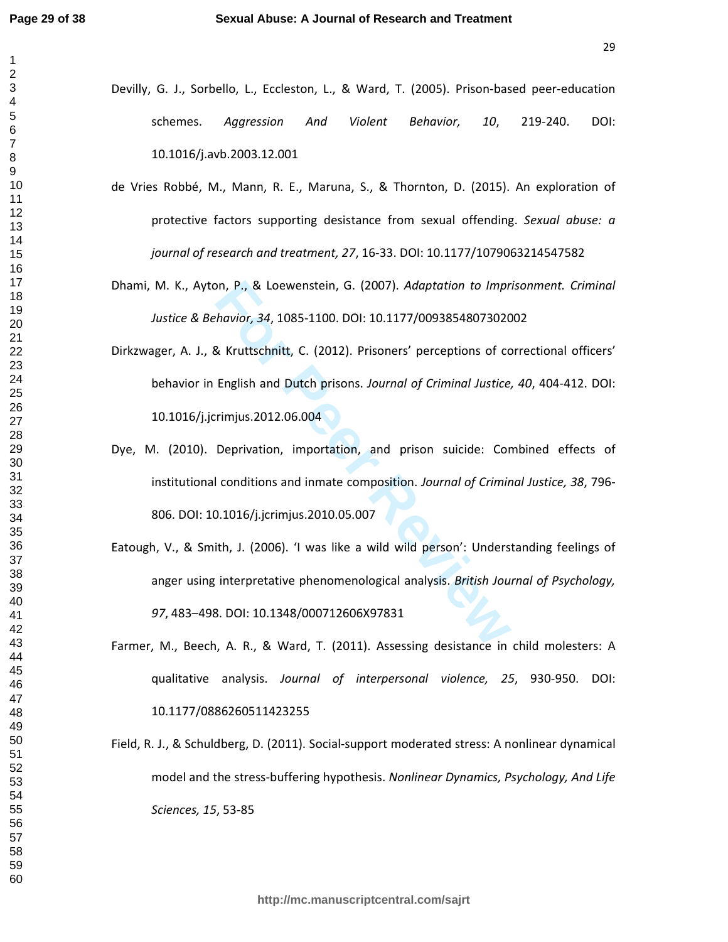- Devilly, G. J., Sorbello, L., Eccleston, L., & Ward, T. (2005). Prison-based peer-education schemes. *Aggression And Violent Behavior, 10*, 219-240. DOI: 10.1016/j.avb.2003.12.001
- de Vries Robbé, M., Mann, R. E., Maruna, S., & Thornton, D. (2015). An exploration of protective factors supporting desistance from sexual offending. *Sexual abuse: a journal of research and treatment, 27*, 16-33. DOI: 10.1177/1079063214547582
- Dhami, M. K., Ayton, P., & Loewenstein, G. (2007). *Adaptation to Imprisonment. Criminal Justice & Behavior, 34*, 1085-1100. DOI: 10.1177/0093854807302002
- on, P., & Loewenstein, G. (2007). *Adaptation to Impr.*<br> *Formation, 34, 1085-1100. DOI: 10.1177/00938548073020*<br> *Revittschnitt, C. (2012). Prisoners' perceptions of cc*<br> **English and Dutch prisons.** *Journal of Criminal* Dirkzwager, A. J., & Kruttschnitt, C. (2012). Prisoners' perceptions of correctional officers' behavior in English and Dutch prisons. *Journal of Criminal Justice, 40*, 404-412. DOI: 10.1016/j.jcrimjus.2012.06.004
- Dye, M. (2010). Deprivation, importation, and prison suicide: Combined effects of institutional conditions and inmate composition. *Journal of Criminal Justice, 38*, 796- 806. DOI: 10.1016/j.jcrimjus.2010.05.007
- Eatough, V., & Smith, J. (2006). 'I was like a wild wild person': Understanding feelings of anger using interpretative phenomenological analysis. *British Journal of Psychology,*  , 483–498. DOI: 10.1348/000712606X97831
- Farmer, M., Beech, A. R., & Ward, T. (2011). Assessing desistance in child molesters: A qualitative analysis. *Journal of interpersonal violence, 25*, 930-950. DOI: 10.1177/0886260511423255
- Field, R. J., & Schuldberg, D. (2011). Social-support moderated stress: A nonlinear dynamical model and the stress-buffering hypothesis. *Nonlinear Dynamics, Psychology, And Life Sciences, 15*, 53-85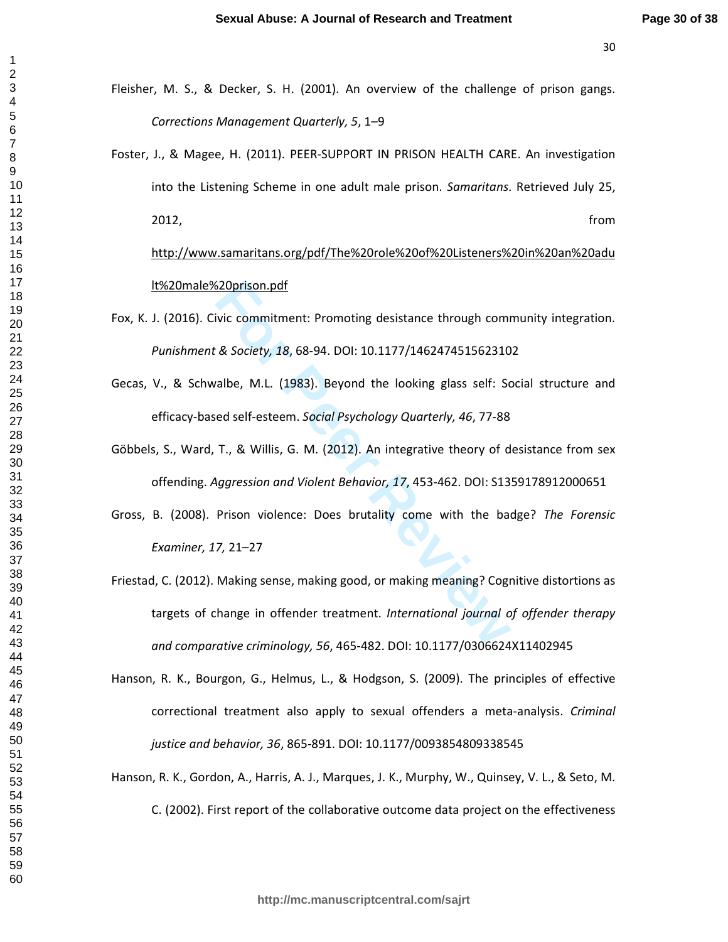$\mathbf{1}$ 

- Fleisher, M. S., & Decker, S. H. (2001). An overview of the challenge of prison gangs. *Corrections Management Quarterly, 5*, 1–9
- Foster, J., & Magee, H. (2011). PEER-SUPPORT IN PRISON HEALTH CARE. An investigation into the Listening Scheme in one adult male prison. *Samaritans*. Retrieved July 25, 2012, from

http://www.samaritans.org/pdf/The%20role%20of%20Listeners%20in%20an%20adu lt%20male%20prison.pdf

- Fox, K. J. (2016). Civic commitment: Promoting desistance through community integration. *Punishment & Society, 18*, 68-94. DOI: 10.1177/1462474515623102
- Gecas, V., & Schwalbe, M.L. (1983). Beyond the looking glass self: Social structure and efficacy-based self-esteem. *Social Psychology Quarterly, 46*, 77-88
- Göbbels, S., Ward, T., & Willis, G. M. (2012). An integrative theory of desistance from sex offending. *Aggression and Violent Behavior, 17*, 453-462. DOI: S1359178912000651
- Gross, B. (2008). Prison violence: Does brutality come with the badge? *The Forensic Examiner, 17,* 21–27
- Example 120 in the mattem of the tasks and the commitment: Promoting desistance through commit as Society, 18, 68-94. DOI: 10.1177/146247451562310<br>
For Peer Review, 18, 68-94. DOI: 10.1177/146247451562310<br>
For Peer Review, Friestad, C. (2012). Making sense, making good, or making meaning? Cognitive distortions as targets of change in offender treatment. *International journal of offender therapy and comparative criminology, 56*, 465-482. DOI: 10.1177/0306624X11402945
- Hanson, R. K., Bourgon, G., Helmus, L., & Hodgson, S. (2009). The principles of effective correctional treatment also apply to sexual offenders a meta-analysis. *Criminal justice and behavior, 36*, 865-891. DOI: 10.1177/0093854809338545
- Hanson, R. K., Gordon, A., Harris, A. J., Marques, J. K., Murphy, W., Quinsey, V. L., & Seto, M. C. (2002). First report of the collaborative outcome data project on the effectiveness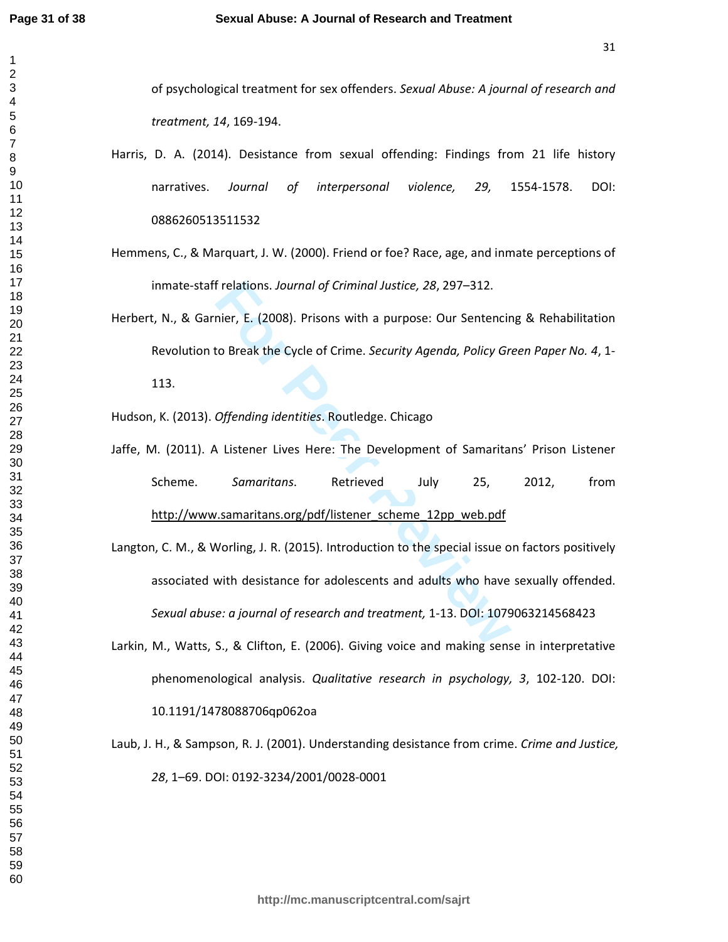$\mathbf{1}$  $\overline{2}$  $\overline{\mathbf{4}}$  $\overline{7}$ 

| of psychological treatment for sex offenders. Sexual Abuse: A journal of research and            |
|--------------------------------------------------------------------------------------------------|
| treatment, 14, 169-194.                                                                          |
| Harris, D. A. (2014). Desistance from sexual offending: Findings from 21 life history            |
| Journal<br>interpersonal<br>violence,<br>DOI:<br>narratives.<br>of<br>29,<br>1554-1578.          |
| 0886260513511532                                                                                 |
| Hemmens, C., & Marquart, J. W. (2000). Friend or foe? Race, age, and inmate perceptions of       |
| inmate-staff relations. Journal of Criminal Justice, 28, 297-312.                                |
| Herbert, N., & Garnier, E. (2008). Prisons with a purpose: Our Sentencing & Rehabilitation       |
| Revolution to Break the Cycle of Crime. Security Agenda, Policy Green Paper No. 4, 1-            |
| 113.                                                                                             |
| Hudson, K. (2013). Offending identities. Routledge. Chicago                                      |
| Jaffe, M. (2011). A Listener Lives Here: The Development of Samaritans' Prison Listener          |
| Scheme.<br>Samaritans.<br>Retrieved<br>2012,<br>from<br>July<br>25,                              |
| http://www.samaritans.org/pdf/listener_scheme_12pp_web.pdf                                       |
| Langton, C. M., & Worling, J. R. (2015). Introduction to the special issue on factors positively |
| associated with desistance for adolescents and adults who have sexually offended.                |
| Sexual abuse: a journal of research and treatment, 1-13. DOI: 1079063214568423                   |
| Larkin, M., Watts, S., & Clifton, E. (2006). Giving voice and making sense in interpretative     |
| phenomenological analysis. Qualitative research in psychology, 3, 102-120. DOI:                  |
| 10.1191/1478088706qp062oa                                                                        |
| Laub, J. H., & Sampson, R. J. (2001). Understanding desistance from crime. Crime and Justice,    |
| 28, 1-69. DOI: 0192-3234/2001/0028-0001                                                          |
|                                                                                                  |
|                                                                                                  |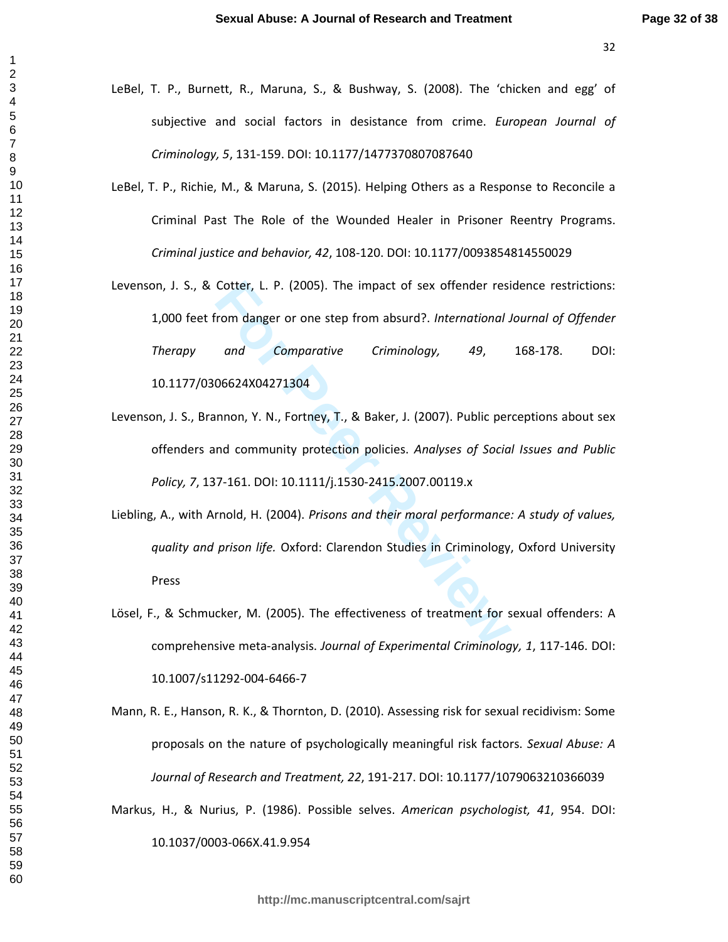$\mathbf{1}$ 

- LeBel, T. P., Burnett, R., Maruna, S., & Bushway, S. (2008). The 'chicken and egg' of subjective and social factors in desistance from crime. *European Journal of Criminology, 5*, 131-159. DOI: 10.1177/1477370807087640
- LeBel, T. P., Richie, M., & Maruna, S. (2015). Helping Others as a Response to Reconcile a Criminal Past The Role of the Wounded Healer in Prisoner Reentry Programs. *Criminal justice and behavior, 42*, 108-120. DOI: 10.1177/0093854814550029
- Cotter, L. P. (2005). The impact of sex offender resirved manager or one step from absurd?. *International J*<br>
and Comparative Criminology, 49,<br>
06624X04271304<br>
mnon, Y. N., Fortney, T., & Baker, J. (2007). Public per<br>
nd Levenson, J. S., & Cotter, L. P. (2005). The impact of sex offender residence restrictions: 1,000 feet from danger or one step from absurd?. *International Journal of Offender Therapy and Comparative Criminology, 49*, 168-178. DOI: 10.1177/0306624X04271304
- Levenson, J. S., Brannon, Y. N., Fortney, T., & Baker, J. (2007). Public perceptions about sex offenders and community protection policies. *Analyses of Social Issues and Public Policy, 7*, 137-161. DOI: 10.1111/j.1530-2415.2007.00119.x
- Liebling, A., with Arnold, H. (2004). *Prisons and their moral performance: A study of values, quality and prison life.* Oxford: Clarendon Studies in Criminology, Oxford University Press
- Lösel, F., & Schmucker, M. (2005). The effectiveness of treatment for sexual offenders: A comprehensive meta-analysis. *Journal of Experimental Criminology, 1*, 117-146. DOI: 10.1007/s11292-004-6466-7
- Mann, R. E., Hanson, R. K., & Thornton, D. (2010). Assessing risk for sexual recidivism: Some proposals on the nature of psychologically meaningful risk factors. *Sexual Abuse: A Journal of Research and Treatment, 22*, 191-217. DOI: 10.1177/1079063210366039
- Markus, H., & Nurius, P. (1986). Possible selves. *American psychologist, 41*, 954. DOI:

10.1037/0003-066X.41.9.954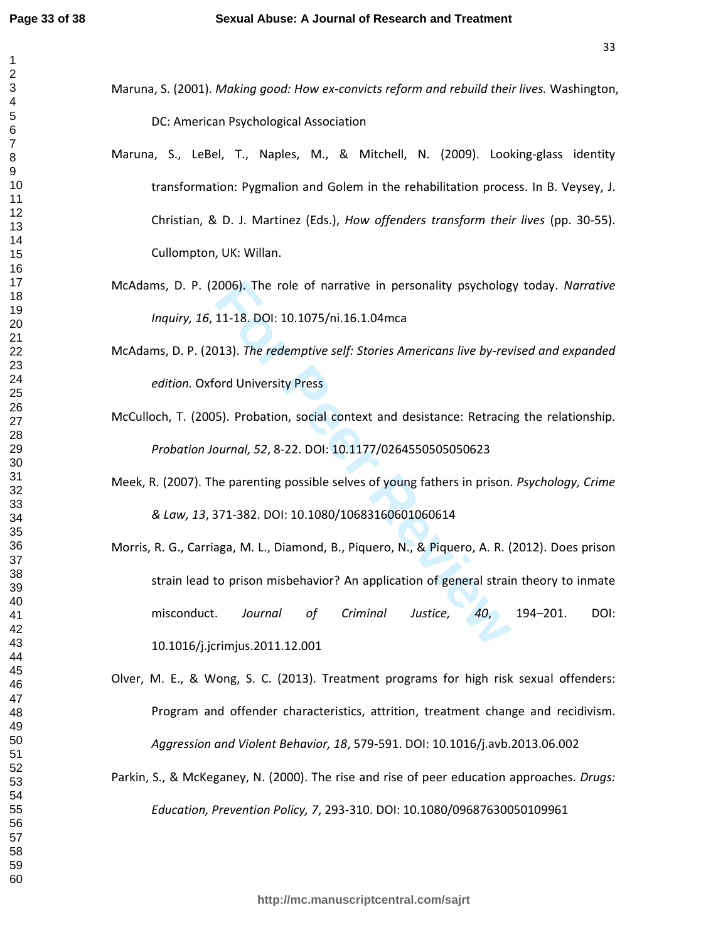- Maruna, S. (2001). *Making good: How ex-convicts reform and rebuild their lives.* Washington, DC: American Psychological Association
- Maruna, S., LeBel, T., Naples, M., & Mitchell, N. (2009). Looking-glass identity transformation: Pygmalion and Golem in the rehabilitation process. In B. Veysey, J. Christian, & D. J. Martinez (Eds.), *How offenders transform their lives* (pp. 30-55). Cullompton, UK: Willan.
- McAdams, D. P. (2006). The role of narrative in personality psychology today. *Narrative Inquiry, 16*, 11-18. DOI: 10.1075/ni.16.1.04mca
- McAdams, D. P. (2013). *The redemptive self: Stories Americans live by-revised and expanded edition.* Oxford University Press
- McCulloch, T. (2005). Probation, social context and desistance: Retracing the relationship. *Probation Journal, 52*, 8-22. DOI: 10.1177/0264550505050623
- Meek, R. (2007). The parenting possible selves of young fathers in prison. *Psychology, Crime & Law, 13*, 371-382. DOI: 10.1080/10683160601060614
- 2006). The role of narrative in personality psycholog<br>
11-18. DOI: 10.1075/ni.16.1.04mca<br>
113). The redemptive self: Stories Americans live by-rev<br>
ord University Press<br>
5). Probation, social context and desistance: Retrac Morris, R. G., Carriaga, M. L., Diamond, B., Piquero, N., & Piquero, A. R. (2012). Does prison strain lead to prison misbehavior? An application of general strain theory to inmate misconduct. *Journal of Criminal Justice, 40*, 194–201. DOI: 10.1016/j.jcrimjus.2011.12.001
- Olver, M. E., & Wong, S. C. (2013). Treatment programs for high risk sexual offenders: Program and offender characteristics, attrition, treatment change and recidivism. *Aggression and Violent Behavior, 18*, 579-591. DOI: 10.1016/j.avb.2013.06.002
- Parkin, S., & McKeganey, N. (2000). The rise and rise of peer education approaches. *Drugs: Education, Prevention Policy, 7*, 293-310. DOI: 10.1080/09687630050109961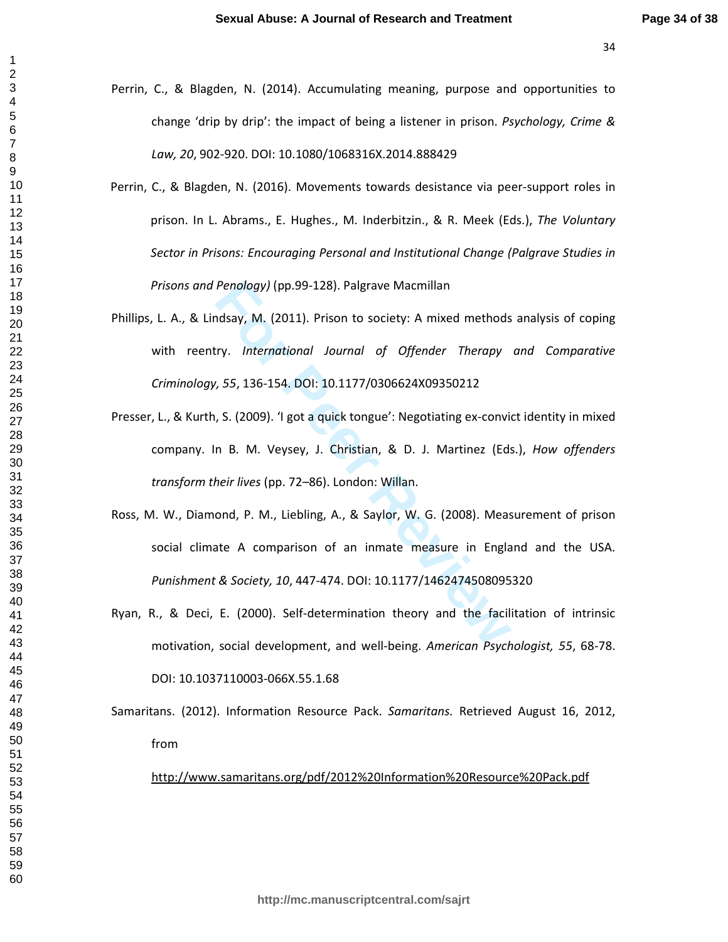$\mathbf{1}$ 

- Perrin, C., & Blagden, N. (2014). Accumulating meaning, purpose and opportunities to change 'drip by drip': the impact of being a listener in prison. *Psychology, Crime & Law, 20*, 902-920. DOI: 10.1080/1068316X.2014.888429
- Perrin, C., & Blagden, N. (2016). Movements towards desistance via peer-support roles in prison. In L. Abrams., E. Hughes., M. Inderbitzin., & R. Meek (Eds.), *The Voluntary Sector in Prisons: Encouraging Personal and Institutional Change (Palgrave Studies in Prisons and Penology)* (pp.99-128). Palgrave Macmillan
- Penology) (pp.99-128). Palgrave Macmillan<br>
rdsay, M. (2011). Prison to society: A mixed methods<br>
r.v. International Journal of Offender Therapy<br>
1, 55, 136-154. DOI: 10.1177/0306624X09350212<br>
5. (2009). 'I got a quick tong Phillips, L. A., & Lindsay, M. (2011). Prison to society: A mixed methods analysis of coping with reentry. *International Journal of Offender Therapy and Comparative Criminology, 55*, 136-154. DOI: 10.1177/0306624X09350212
- Presser, L., & Kurth, S. (2009). 'I got a quick tongue': Negotiating ex-convict identity in mixed company. In B. M. Veysey, J. Christian, & D. J. Martinez (Eds.), *How offenders transform their lives* (pp. 72–86). London: Willan.
- Ross, M. W., Diamond, P. M., Liebling, A., & Saylor, W. G. (2008). Measurement of prison social climate A comparison of an inmate measure in England and the USA. *Punishment & Society, 10*, 447-474. DOI: 10.1177/1462474508095320
- Ryan, R., & Deci, E. (2000). Self-determination theory and the facilitation of intrinsic motivation, social development, and well-being. *American Psychologist, 55*, 68-78. DOI: 10.1037110003-066X.55.1.68
- Samaritans. (2012). Information Resource Pack. *Samaritans.* Retrieved August 16, 2012, from

http://www.samaritans.org/pdf/2012%20Information%20Resource%20Pack.pdf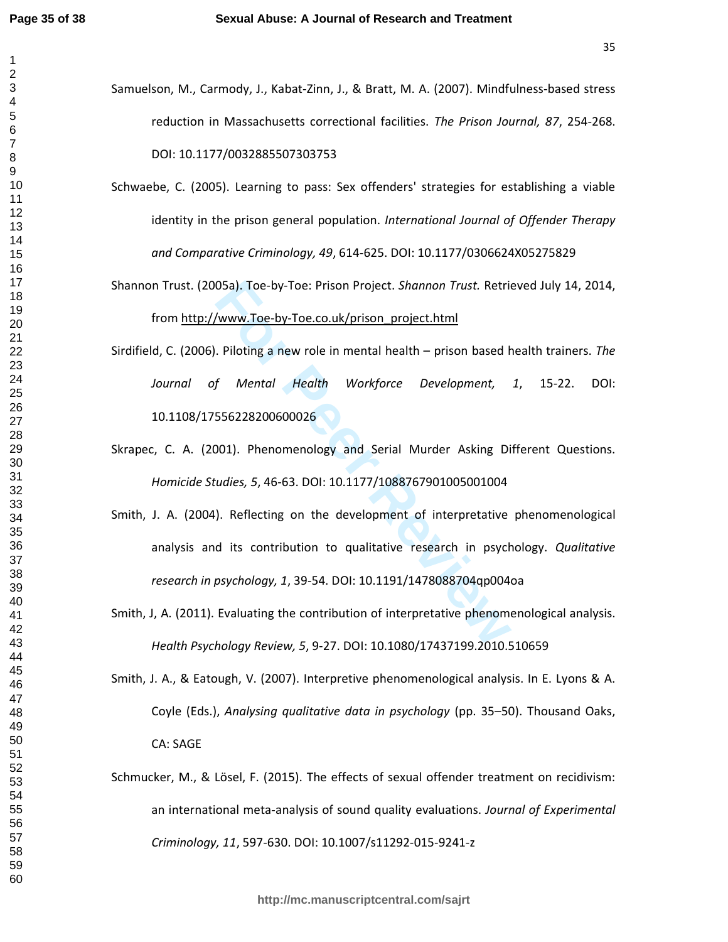- Samuelson, M., Carmody, J., Kabat-Zinn, J., & Bratt, M. A. (2007). Mindfulness-based stress reduction in Massachusetts correctional facilities. *The Prison Journal, 87*, 254-268. DOI: 10.1177/0032885507303753
	- Schwaebe, C. (2005). Learning to pass: Sex offenders' strategies for establishing a viable identity in the prison general population. *International Journal of Offender Therapy and Comparative Criminology, 49*, 614-625. DOI: 10.1177/0306624X05275829
	- Shannon Trust. (2005a). Toe-by-Toe: Prison Project. *Shannon Trust.* Retrieved July 14, 2014, from http://www.Toe-by-Toe.co.uk/prison\_project.html
	- Sirdifield, C. (2006). Piloting a new role in mental health prison based health trainers. *The Journal of Mental Health Workforce Development, 1*, 15-22. DOI: 10.1108/17556228200600026
- Skrapec, C. A. (2001). Phenomenology and Serial Murder Asking Different Questions. *Homicide Studies, 5*, 46-63. DOI: 10.1177/1088767901005001004
- 05a). Toe-by-Toe: Prison Project. *Shannon Trust.* Retric<br>
Www.Toe-by-Toe.co.uk/prison\_project.html<br>
Piloting a new role in mental health prison based *f*<br> *Mental Health Workforce Development,*<br>
556228200600026<br>
1001). Smith, J. A. (2004). Reflecting on the development of interpretative phenomenological analysis and its contribution to qualitative research in psychology. *Qualitative research in psychology, 1*, 39-54. DOI: 10.1191/1478088704qp004oa
- Smith, J, A. (2011). Evaluating the contribution of interpretative phenomenological analysis. *Health Psychology Review, 5*, 9-27. DOI: 10.1080/17437199.2010.510659
- Smith, J. A., & Eatough, V. (2007). Interpretive phenomenological analysis. In E. Lyons & A. Coyle (Eds.), *Analysing qualitative data in psychology* (pp. 35–50). Thousand Oaks, CA: SAGE
- Schmucker, M., & Lösel, F. (2015). The effects of sexual offender treatment on recidivism: an international meta-analysis of sound quality evaluations. *Journal of Experimental Criminology, 11*, 597-630. DOI: 10.1007/s11292-015-9241-z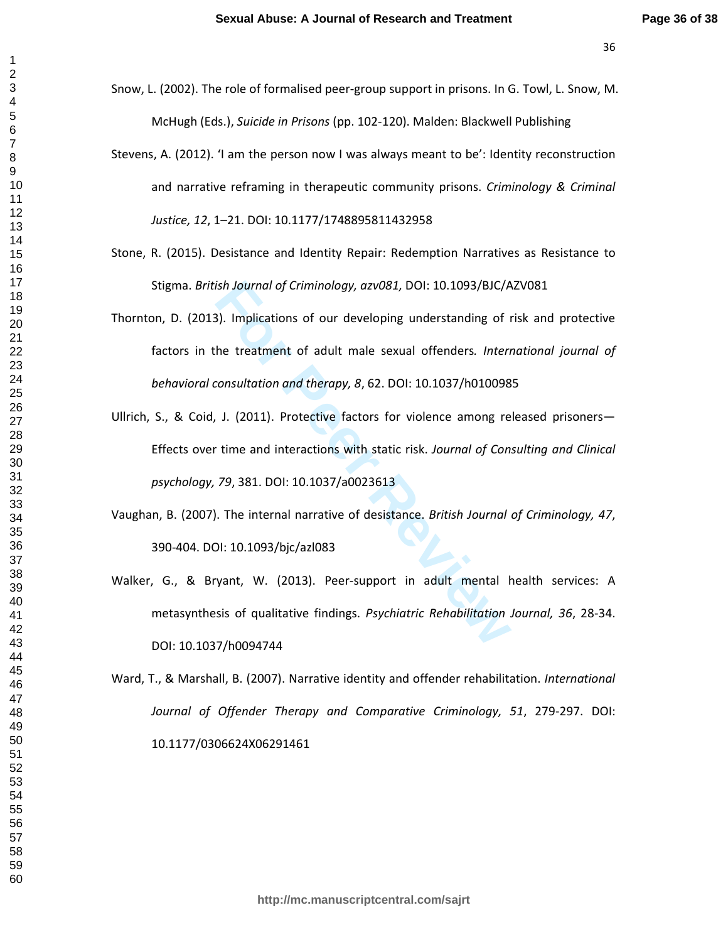$\mathbf{1}$ 

- Snow, L. (2002). The role of formalised peer-group support in prisons. In G. Towl, L. Snow, M. McHugh (Eds.), *Suicide in Prisons* (pp. 102-120). Malden: Blackwell Publishing
- Stevens, A. (2012). 'I am the person now I was always meant to be': Identity reconstruction and narrative reframing in therapeutic community prisons. *Criminology & Criminal Justice, 12*, 1–21. DOI: 10.1177/1748895811432958
- Stone, R. (2015). Desistance and Identity Repair: Redemption Narratives as Resistance to Stigma. *British Journal of Criminology, azv081,* DOI: 10.1093/BJC/AZV081
- Thornton, D. (2013). Implications of our developing understanding of risk and protective factors in the treatment of adult male sexual offenders*. International journal of behavioral consultation and therapy, 8*, 62. DOI: 10.1037/h0100985
- **For Peer Review** Ullrich, S., & Coid, J. (2011). Protective factors for violence among released prisoners— Effects over time and interactions with static risk. *Journal of Consulting and Clinical psychology, 79*, 381. DOI: 10.1037/a0023613
- Vaughan, B. (2007). The internal narrative of desistance. *British Journal of Criminology, 47*, 390-404. DOI: 10.1093/bjc/azl083
- Walker, G., & Bryant, W. (2013). Peer-support in adult mental health services: A metasynthesis of qualitative findings. *Psychiatric Rehabilitation Journal, 36*, 28-34. DOI: 10.1037/h0094744
- Ward, T., & Marshall, B. (2007). Narrative identity and offender rehabilitation. *International Journal of Offender Therapy and Comparative Criminology, 51*, 279-297. DOI: 10.1177/0306624X06291461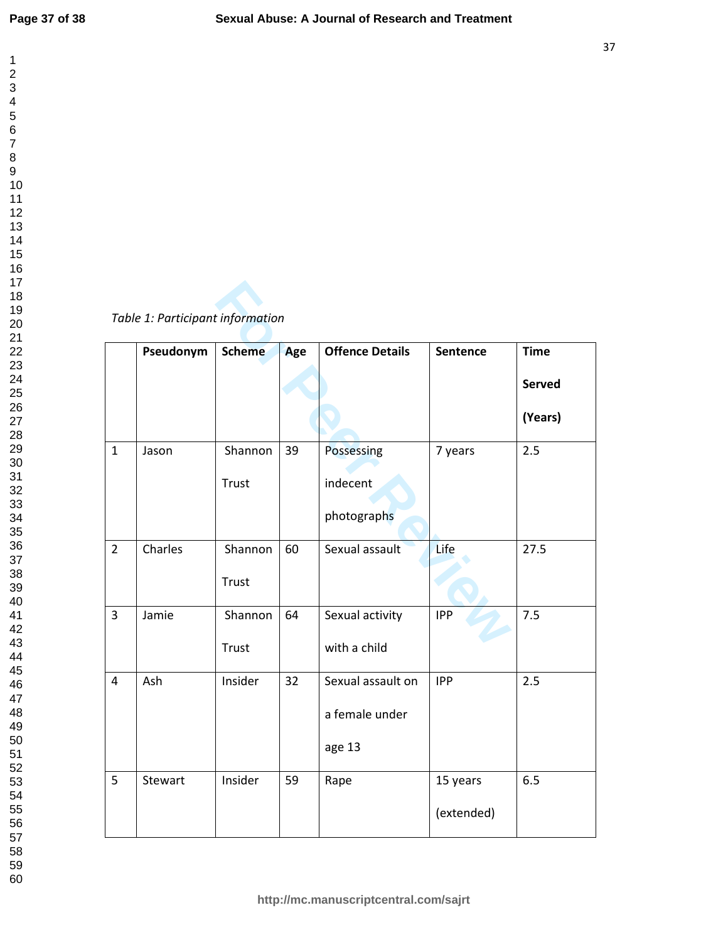$\mathbf 1$  $\overline{2}$  $\overline{\mathbf{4}}$  $\overline{7}$ 

## *Table 1: Participant information*

| Table 1: Participant information |           |               |     |                        |            |               |
|----------------------------------|-----------|---------------|-----|------------------------|------------|---------------|
|                                  | Pseudonym | <b>Scheme</b> | Age | <b>Offence Details</b> | Sentence   | <b>Time</b>   |
|                                  |           |               |     |                        |            | <b>Served</b> |
|                                  |           |               |     |                        |            | (Years)       |
| $\mathbf{1}$                     | Jason     | Shannon       | 39  | Possessing             | 7 years    | 2.5           |
|                                  |           | Trust         |     | indecent               |            |               |
|                                  |           |               |     | photographs            |            |               |
| $\overline{2}$                   | Charles   | Shannon       | 60  | Sexual assault         | Life       | 27.5          |
|                                  |           | Trust         |     |                        |            |               |
| $\overline{3}$                   | Jamie     | Shannon       | 64  | Sexual activity        | <b>IPP</b> | 7.5           |
|                                  |           | Trust         |     | with a child           |            |               |
| $\overline{4}$                   | Ash       | Insider       | 32  | Sexual assault on      | <b>IPP</b> | 2.5           |
|                                  |           |               |     | a female under         |            |               |
|                                  |           |               |     | age 13                 |            |               |
| 5                                | Stewart   | Insider       | 59  | Rape                   | 15 years   | 6.5           |
|                                  |           |               |     |                        | (extended) |               |